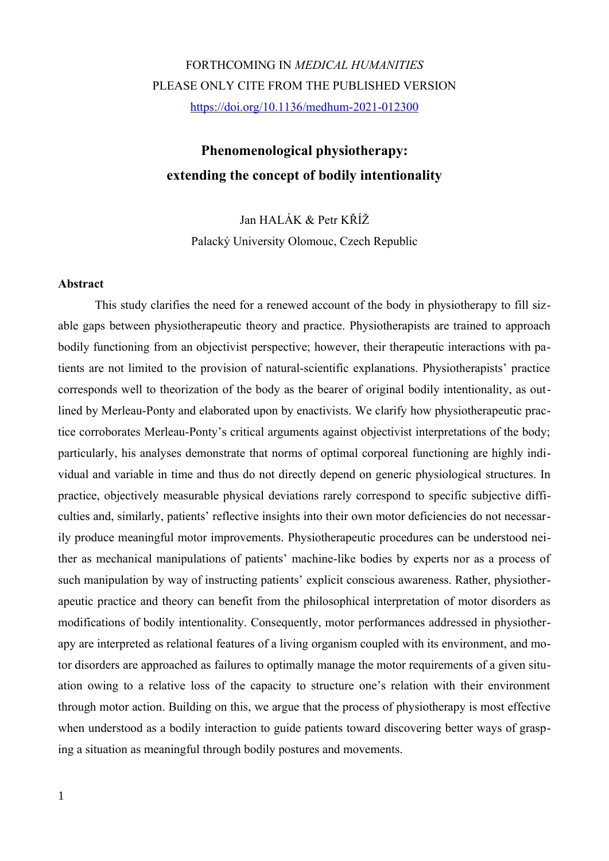# FORTHCOMING IN *MEDICAL HUMANITIES* PLEASE ONLY CITE FROM THE PUBLISHED VERSION <https://doi.org/10.1136/medhum-2021-012300>

# **Phenomenological physiotherapy: extending the concept of bodily intentionality**

Jan HALÁK & Petr KŘÍŽ Palacký University Olomouc, Czech Republic

# **Abstract**

This study clarifies the need for a renewed account of the body in physiotherapy to fill sizable gaps between physiotherapeutic theory and practice. Physiotherapists are trained to approach bodily functioning from an objectivist perspective; however, their therapeutic interactions with patients are not limited to the provision of natural-scientific explanations. Physiotherapists' practice corresponds well to theorization of the body as the bearer of original bodily intentionality, as outlined by Merleau-Ponty and elaborated upon by enactivists. We clarify how physiotherapeutic practice corroborates Merleau-Ponty's critical arguments against objectivist interpretations of the body; particularly, his analyses demonstrate that norms of optimal corporeal functioning are highly individual and variable in time and thus do not directly depend on generic physiological structures. In practice, objectively measurable physical deviations rarely correspond to specific subjective difficulties and, similarly, patients' reflective insights into their own motor deficiencies do not necessarily produce meaningful motor improvements. Physiotherapeutic procedures can be understood neither as mechanical manipulations of patients' machine-like bodies by experts nor as a process of such manipulation by way of instructing patients' explicit conscious awareness. Rather, physiotherapeutic practice and theory can benefit from the philosophical interpretation of motor disorders as modifications of bodily intentionality. Consequently, motor performances addressed in physiotherapy are interpreted as relational features of a living organism coupled with its environment, and motor disorders are approached as failures to optimally manage the motor requirements of a given situation owing to a relative loss of the capacity to structure one's relation with their environment through motor action. Building on this, we argue that the process of physiotherapy is most effective when understood as a bodily interaction to guide patients toward discovering better ways of grasping a situation as meaningful through bodily postures and movements.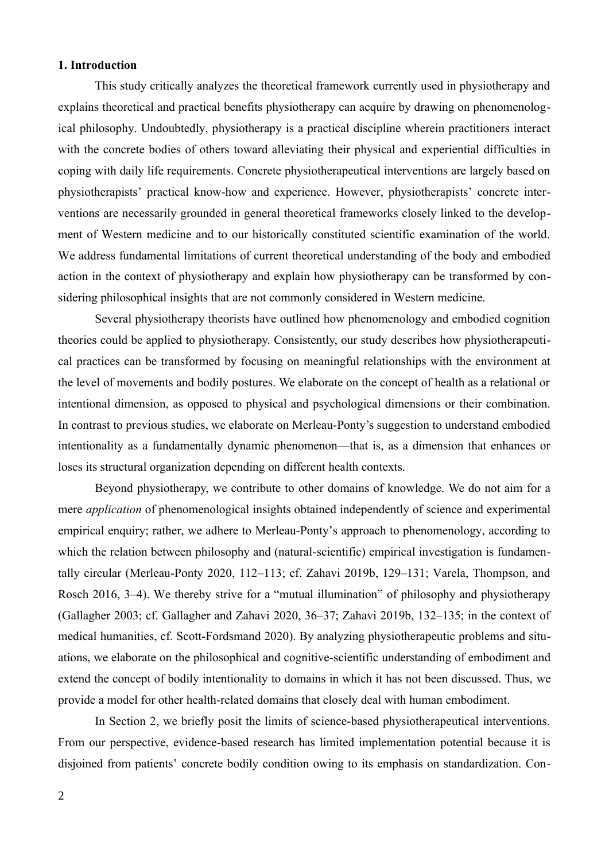# **1. Introduction**

This study critically analyzes the theoretical framework currently used in physiotherapy and explains theoretical and practical benefits physiotherapy can acquire by drawing on phenomenological philosophy. Undoubtedly, physiotherapy is a practical discipline wherein practitioners interact with the concrete bodies of others toward alleviating their physical and experiential difficulties in coping with daily life requirements. Concrete physiotherapeutical interventions are largely based on physiotherapists' practical know-how and experience. However, physiotherapists' concrete interventions are necessarily grounded in general theoretical frameworks closely linked to the development of Western medicine and to our historically constituted scientific examination of the world. We address fundamental limitations of current theoretical understanding of the body and embodied action in the context of physiotherapy and explain how physiotherapy can be transformed by considering philosophical insights that are not commonly considered in Western medicine.

Several physiotherapy theorists have outlined how phenomenology and embodied cognition theories could be applied to physiotherapy. Consistently, our study describes how physiotherapeutical practices can be transformed by focusing on meaningful relationships with the environment at the level of movements and bodily postures. We elaborate on the concept of health as a relational or intentional dimension, as opposed to physical and psychological dimensions or their combination. In contrast to previous studies, we elaborate on Merleau-Ponty's suggestion to understand embodied intentionality as a fundamentally dynamic phenomenon—that is, as a dimension that enhances or loses its structural organization depending on different health contexts.

Beyond physiotherapy, we contribute to other domains of knowledge. We do not aim for a mere *application* of phenomenological insights obtained independently of science and experimental empirical enquiry; rather, we adhere to Merleau-Ponty's approach to phenomenology, according to which the relation between philosophy and (natural-scientific) empirical investigation is fundamentally circular (Merleau-Ponty 2020, 112–113; cf. Zahavi 2019b, 129–131; Varela, Thompson, and Rosch 2016, 3–4). We thereby strive for a "mutual illumination" of philosophy and physiotherapy (Gallagher 2003; cf. Gallagher and Zahavi 2020, 36–37; Zahavi 2019b, 132–135; in the context of medical humanities, cf. Scott-Fordsmand 2020). By analyzing physiotherapeutic problems and situations, we elaborate on the philosophical and cognitive-scientific understanding of embodiment and extend the concept of bodily intentionality to domains in which it has not been discussed. Thus, we provide a model for other health-related domains that closely deal with human embodiment.

In Section 2, we briefly posit the limits of science-based physiotherapeutical interventions. From our perspective, evidence-based research has limited implementation potential because it is disjoined from patients' concrete bodily condition owing to its emphasis on standardization. Con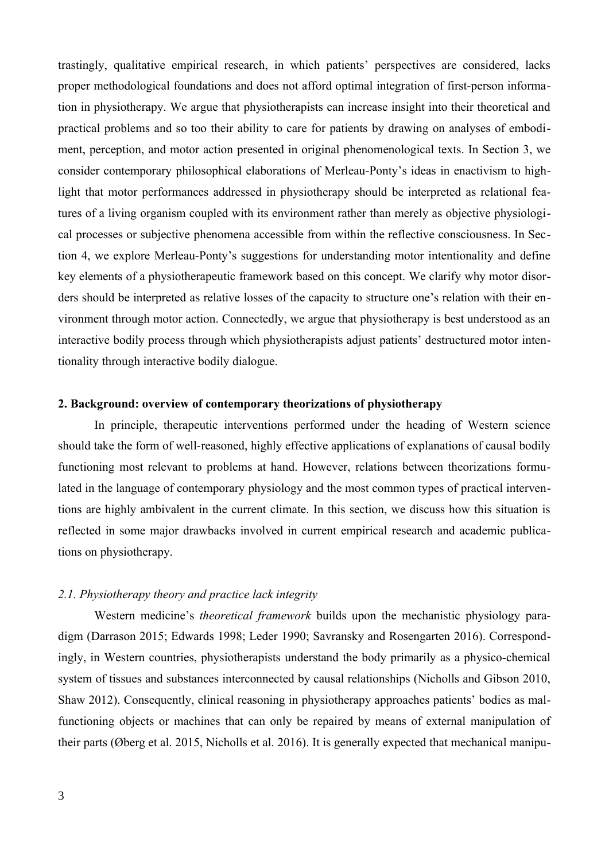trastingly, qualitative empirical research, in which patients' perspectives are considered, lacks proper methodological foundations and does not afford optimal integration of first-person information in physiotherapy. We argue that physiotherapists can increase insight into their theoretical and practical problems and so too their ability to care for patients by drawing on analyses of embodiment, perception, and motor action presented in original phenomenological texts. In Section 3, we consider contemporary philosophical elaborations of Merleau-Ponty's ideas in enactivism to highlight that motor performances addressed in physiotherapy should be interpreted as relational features of a living organism coupled with its environment rather than merely as objective physiological processes or subjective phenomena accessible from within the reflective consciousness. In Section 4, we explore Merleau-Ponty's suggestions for understanding motor intentionality and define key elements of a physiotherapeutic framework based on this concept. We clarify why motor disorders should be interpreted as relative losses of the capacity to structure one's relation with their environment through motor action. Connectedly, we argue that physiotherapy is best understood as an interactive bodily process through which physiotherapists adjust patients' destructured motor intentionality through interactive bodily dialogue.

# **2. Background: overview of contemporary theorizations of physiotherapy**

In principle, therapeutic interventions performed under the heading of Western science should take the form of well-reasoned, highly effective applications of explanations of causal bodily functioning most relevant to problems at hand. However, relations between theorizations formulated in the language of contemporary physiology and the most common types of practical interventions are highly ambivalent in the current climate. In this section, we discuss how this situation is reflected in some major drawbacks involved in current empirical research and academic publications on physiotherapy.

### *2.1. Physiotherapy theory and practice lack integrity*

Western medicine's *theoretical framework* builds upon the mechanistic physiology paradigm (Darrason 2015; Edwards 1998; Leder 1990; Savransky and Rosengarten 2016). Correspondingly, in Western countries, physiotherapists understand the body primarily as a physico-chemical system of tissues and substances interconnected by causal relationships (Nicholls and Gibson 2010, Shaw 2012). Consequently, clinical reasoning in physiotherapy approaches patients' bodies as malfunctioning objects or machines that can only be repaired by means of external manipulation of their parts (Øberg et al. 2015, Nicholls et al. 2016). It is generally expected that mechanical manipu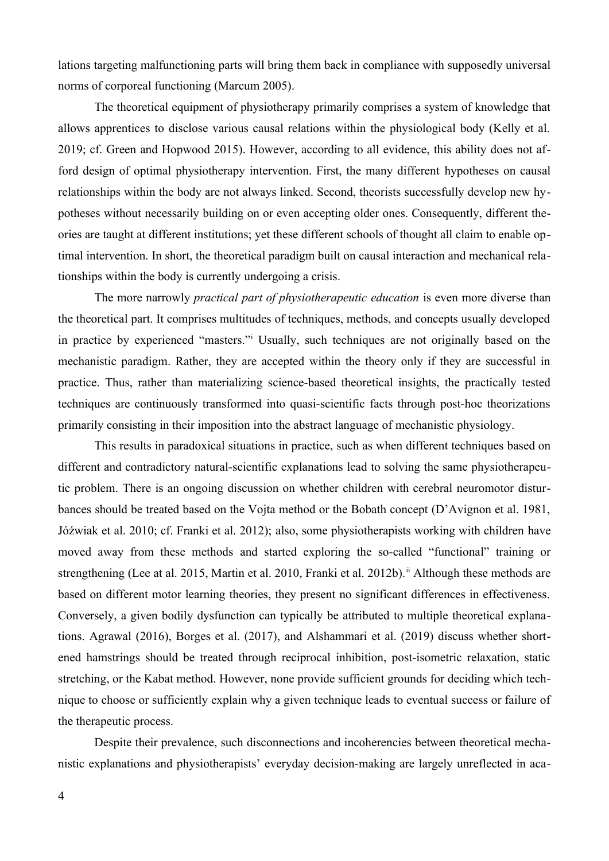lations targeting malfunctioning parts will bring them back in compliance with supposedly universal norms of corporeal functioning (Marcum 2005).

The theoretical equipment of physiotherapy primarily comprises a system of knowledge that allows apprentices to disclose various causal relations within the physiological body (Kelly et al. 2019; cf. Green and Hopwood 2015). However, according to all evidence, this ability does not afford design of optimal physiotherapy intervention. First, the many different hypotheses on causal relationships within the body are not always linked. Second, theorists successfully develop new hypotheses without necessarily building on or even accepting older ones. Consequently, different theories are taught at different institutions; yet these different schools of thought all claim to enable optimal intervention. In short, the theoretical paradigm built on causal interaction and mechanical relationships within the body is currently undergoing a crisis.

<span id="page-3-0"></span>The more narrowly *practical part of physiotherapeutic education* is even more diverse than the theoretical part. It comprises multitudes of techniques, methods, and concepts usually developed in practice by experienced "masters."[i](#page-42-0) Usually, such techniques are not originally based on the mechanistic paradigm. Rather, they are accepted within the theory only if they are successful in practice. Thus, rather than materializing science-based theoretical insights, the practically tested techniques are continuously transformed into quasi-scientific facts through post-hoc theorizations primarily consisting in their imposition into the abstract language of mechanistic physiology.

<span id="page-3-1"></span>This results in paradoxical situations in practice, such as when different techniques based on different and contradictory natural-scientific explanations lead to solving the same physiotherapeutic problem. There is an ongoing discussion on whether children with cerebral neuromotor disturbances should be treated based on the Vojta method or the Bobath concept (D'Avignon et al. 1981, Jóźwiak et al. 2010; cf. Franki et al. 2012); also, some physiotherapists working with children have moved away from these methods and started exploring the so-called "functional" training or strengthening (Lee at al. 2015, Martin et al. 2010, Franki et al. 2012b).<sup>[ii](#page-42-1)</sup> Although these methods are based on different motor learning theories, they present no significant differences in effectiveness. Conversely, a given bodily dysfunction can typically be attributed to multiple theoretical explanations. Agrawal (2016), Borges et al. (2017), and Alshammari et al. (2019) discuss whether shortened hamstrings should be treated through reciprocal inhibition, post-isometric relaxation, static stretching, or the Kabat method. However, none provide sufficient grounds for deciding which technique to choose or sufficiently explain why a given technique leads to eventual success or failure of the therapeutic process.

Despite their prevalence, such disconnections and incoherencies between theoretical mechanistic explanations and physiotherapists' everyday decision-making are largely unreflected in aca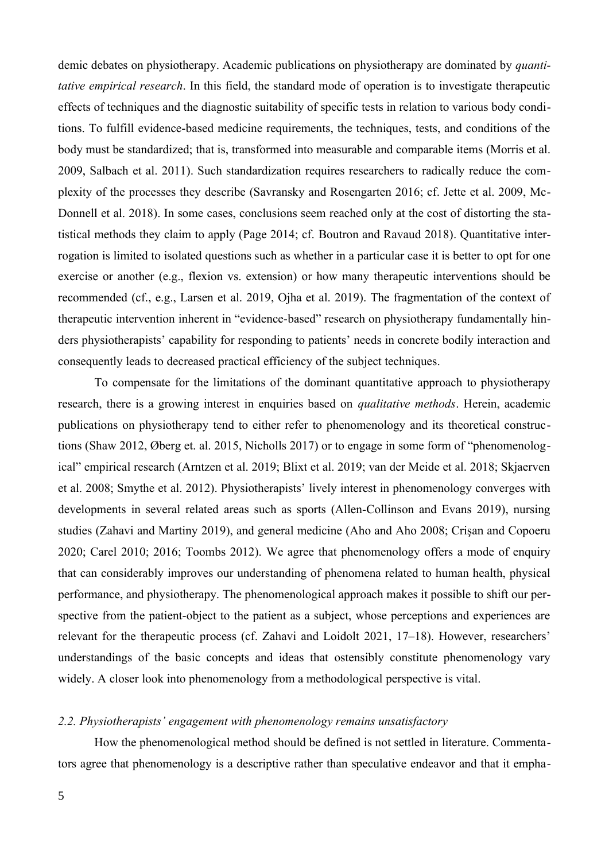demic debates on physiotherapy. Academic publications on physiotherapy are dominated by *quantitative empirical research*. In this field, the standard mode of operation is to investigate therapeutic effects of techniques and the diagnostic suitability of specific tests in relation to various body conditions. To fulfill evidence-based medicine requirements, the techniques, tests, and conditions of the body must be standardized; that is, transformed into measurable and comparable items (Morris et al. 2009, Salbach et al. 2011). Such standardization requires researchers to radically reduce the complexity of the processes they describe (Savransky and Rosengarten 2016; cf. Jette et al. 2009, Mc-Donnell et al. 2018). In some cases, conclusions seem reached only at the cost of distorting the statistical methods they claim to apply (Page 2014; cf. Boutron and Ravaud 2018). Quantitative interrogation is limited to isolated questions such as whether in a particular case it is better to opt for one exercise or another (e.g., flexion vs. extension) or how many therapeutic interventions should be recommended (cf., e.g., Larsen et al. 2019, Ojha et al. 2019). The fragmentation of the context of therapeutic intervention inherent in "evidence-based" research on physiotherapy fundamentally hinders physiotherapists' capability for responding to patients' needs in concrete bodily interaction and consequently leads to decreased practical efficiency of the subject techniques.

To compensate for the limitations of the dominant quantitative approach to physiotherapy research, there is a growing interest in enquiries based on *qualitative methods*. Herein, academic publications on physiotherapy tend to either refer to phenomenology and its theoretical constructions (Shaw 2012, Øberg et. al. 2015, Nicholls 2017) or to engage in some form of "phenomenological" empirical research (Arntzen et al. 2019; Blixt et al. 2019; van der Meide et al. 2018; Skjaerven et al. 2008; Smythe et al. 2012). Physiotherapists' lively interest in phenomenology converges with developments in several related areas such as sports (Allen-Collinson and Evans 2019), nursing studies (Zahavi and Martiny 2019), and general medicine (Aho and Aho 2008; Crişan and Copoeru 2020; Carel 2010; 2016; Toombs 2012). We agree that phenomenology offers a mode of enquiry that can considerably improves our understanding of phenomena related to human health, physical performance, and physiotherapy. The phenomenological approach makes it possible to shift our perspective from the patient-object to the patient as a subject, whose perceptions and experiences are relevant for the therapeutic process (cf. Zahavi and Loidolt 2021, 17–18). However, researchers' understandings of the basic concepts and ideas that ostensibly constitute phenomenology vary widely. A closer look into phenomenology from a methodological perspective is vital.

# *2.2. Physiotherapists' engagement with phenomenology remains unsatisfactory*

How the phenomenological method should be defined is not settled in literature. Commentators agree that phenomenology is a descriptive rather than speculative endeavor and that it empha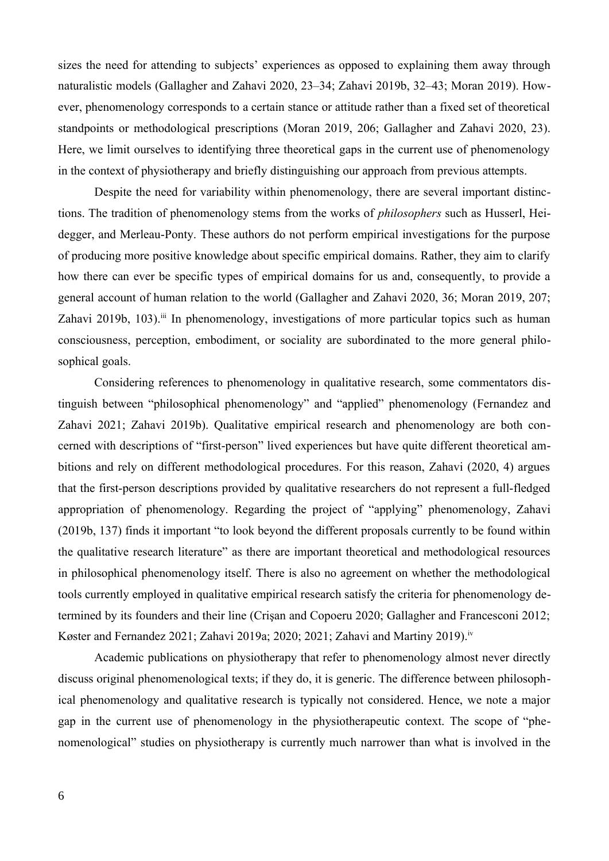sizes the need for attending to subjects' experiences as opposed to explaining them away through naturalistic models (Gallagher and Zahavi 2020, 23–34; Zahavi 2019b, 32–43; Moran 2019). However, phenomenology corresponds to a certain stance or attitude rather than a fixed set of theoretical standpoints or methodological prescriptions (Moran 2019, 206; Gallagher and Zahavi 2020, 23). Here, we limit ourselves to identifying three theoretical gaps in the current use of phenomenology in the context of physiotherapy and briefly distinguishing our approach from previous attempts.

Despite the need for variability within phenomenology, there are several important distinctions. The tradition of phenomenology stems from the works of *philosophers* such as Husserl, Heidegger, and Merleau-Ponty. These authors do not perform empirical investigations for the purpose of producing more positive knowledge about specific empirical domains. Rather, they aim to clarify how there can ever be specific types of empirical domains for us and, consequently, to provide a general account of human relation to the world (Gallagher and Zahavi 2020, 36; Moran 2019, 207; Zahavi 2019b, 103).<sup>[iii](#page-42-2)</sup> In phenomenology, investigations of more particular topics such as human consciousness, perception, embodiment, or sociality are subordinated to the more general philosophical goals.

<span id="page-5-0"></span>Considering references to phenomenology in qualitative research, some commentators distinguish between "philosophical phenomenology" and "applied" phenomenology (Fernandez and Zahavi 2021; Zahavi 2019b). Qualitative empirical research and phenomenology are both concerned with descriptions of "first-person" lived experiences but have quite different theoretical ambitions and rely on different methodological procedures. For this reason, Zahavi (2020, 4) argues that the first-person descriptions provided by qualitative researchers do not represent a full-fledged appropriation of phenomenology. Regarding the project of "applying" phenomenology, Zahavi (2019b, 137) finds it important "to look beyond the different proposals currently to be found within the qualitative research literature" as there are important theoretical and methodological resources in philosophical phenomenology itself. There is also no agreement on whether the methodological tools currently employed in qualitative empirical research satisfy the criteria for phenomenology determined by its founders and their line (Crişan and Copoeru 2020; Gallagher and Francesconi 2012; Køster and Fernandez 2021; Zahavi 2019a; 2020; 2021; Zahavi and Martiny 2019).<sup>[iv](#page-42-3)</sup>

<span id="page-5-1"></span>Academic publications on physiotherapy that refer to phenomenology almost never directly discuss original phenomenological texts; if they do, it is generic. The difference between philosophical phenomenology and qualitative research is typically not considered. Hence, we note a major gap in the current use of phenomenology in the physiotherapeutic context. The scope of "phenomenological" studies on physiotherapy is currently much narrower than what is involved in the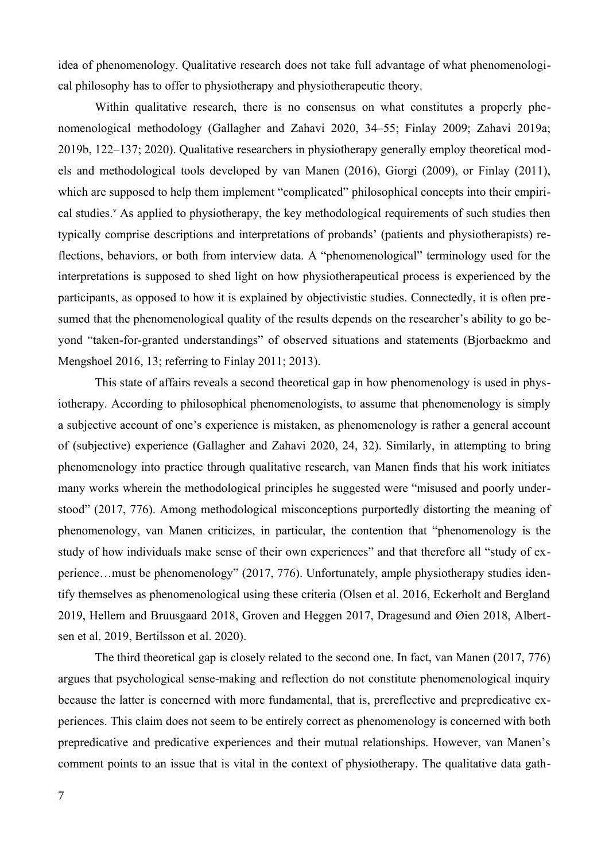idea of phenomenology. Qualitative research does not take full advantage of what phenomenological philosophy has to offer to physiotherapy and physiotherapeutic theory.

<span id="page-6-0"></span>Within qualitative research, there is no consensus on what constitutes a properly phenomenological methodology (Gallagher and Zahavi 2020, 34–55; Finlay 2009; Zahavi 2019a; 2019b, 122–137; 2020). Qualitative researchers in physiotherapy generally employ theoretical models and methodological tools developed by van Manen (2016), Giorgi (2009), or Finlay (2011), which are supposed to help them implement "complicated" philosophical concepts into their empirical studies.<sup>[v](#page-42-4)</sup> As applied to physiotherapy, the key methodological requirements of such studies then typically comprise descriptions and interpretations of probands' (patients and physiotherapists) reflections, behaviors, or both from interview data. A "phenomenological" terminology used for the interpretations is supposed to shed light on how physiotherapeutical process is experienced by the participants, as opposed to how it is explained by objectivistic studies. Connectedly, it is often presumed that the phenomenological quality of the results depends on the researcher's ability to go beyond "taken-for-granted understandings" of observed situations and statements (Bjorbaekmo and Mengshoel 2016, 13; referring to Finlay 2011; 2013).

This state of affairs reveals a second theoretical gap in how phenomenology is used in physiotherapy. According to philosophical phenomenologists, to assume that phenomenology is simply a subjective account of one's experience is mistaken, as phenomenology is rather a general account of (subjective) experience (Gallagher and Zahavi 2020, 24, 32). Similarly, in attempting to bring phenomenology into practice through qualitative research, van Manen finds that his work initiates many works wherein the methodological principles he suggested were "misused and poorly understood" (2017, 776). Among methodological misconceptions purportedly distorting the meaning of phenomenology, van Manen criticizes, in particular, the contention that "phenomenology is the study of how individuals make sense of their own experiences" and that therefore all "study of experience…must be phenomenology" (2017, 776). Unfortunately, ample physiotherapy studies identify themselves as phenomenological using these criteria (Olsen et al. 2016, Eckerholt and Bergland 2019, Hellem and Bruusgaard 2018, Groven and Heggen 2017, Dragesund and Øien 2018, Albertsen et al. 2019, Bertilsson et al. 2020).

The third theoretical gap is closely related to the second one. In fact, van Manen (2017, 776) argues that psychological sense-making and reflection do not constitute phenomenological inquiry because the latter is concerned with more fundamental, that is, prereflective and prepredicative experiences. This claim does not seem to be entirely correct as phenomenology is concerned with both prepredicative and predicative experiences and their mutual relationships. However, van Manen's comment points to an issue that is vital in the context of physiotherapy. The qualitative data gath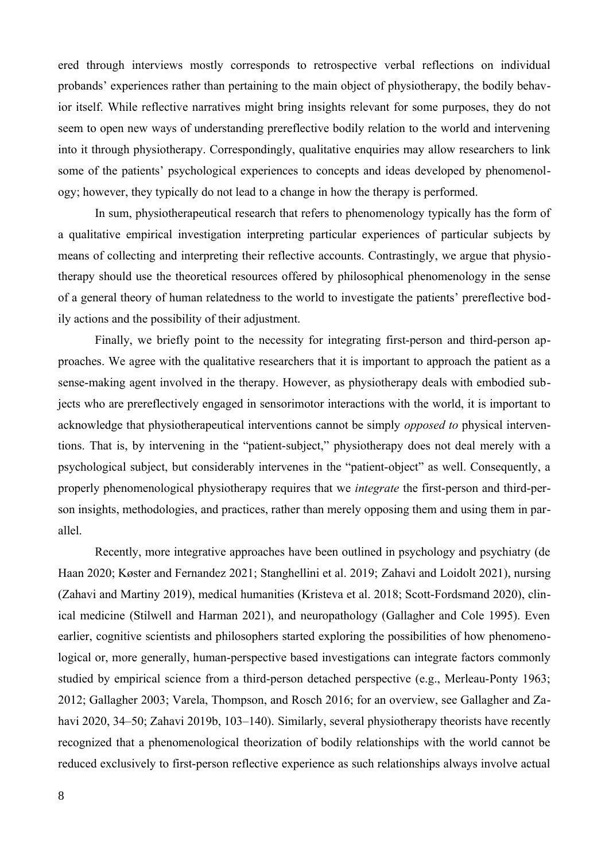ered through interviews mostly corresponds to retrospective verbal reflections on individual probands' experiences rather than pertaining to the main object of physiotherapy, the bodily behavior itself. While reflective narratives might bring insights relevant for some purposes, they do not seem to open new ways of understanding prereflective bodily relation to the world and intervening into it through physiotherapy. Correspondingly, qualitative enquiries may allow researchers to link some of the patients' psychological experiences to concepts and ideas developed by phenomenology; however, they typically do not lead to a change in how the therapy is performed.

In sum, physiotherapeutical research that refers to phenomenology typically has the form of a qualitative empirical investigation interpreting particular experiences of particular subjects by means of collecting and interpreting their reflective accounts. Contrastingly, we argue that physiotherapy should use the theoretical resources offered by philosophical phenomenology in the sense of a general theory of human relatedness to the world to investigate the patients' prereflective bodily actions and the possibility of their adjustment.

Finally, we briefly point to the necessity for integrating first-person and third-person approaches. We agree with the qualitative researchers that it is important to approach the patient as a sense-making agent involved in the therapy. However, as physiotherapy deals with embodied subjects who are prereflectively engaged in sensorimotor interactions with the world, it is important to acknowledge that physiotherapeutical interventions cannot be simply *opposed to* physical interventions. That is, by intervening in the "patient-subject," physiotherapy does not deal merely with a psychological subject, but considerably intervenes in the "patient-object" as well. Consequently, a properly phenomenological physiotherapy requires that we *integrate* the first-person and third-person insights, methodologies, and practices, rather than merely opposing them and using them in parallel.

Recently, more integrative approaches have been outlined in psychology and psychiatry (de Haan 2020; Køster and Fernandez 2021; Stanghellini et al. 2019; Zahavi and Loidolt 2021), nursing (Zahavi and Martiny 2019), medical humanities (Kristeva et al. 2018; Scott-Fordsmand 2020), clinical medicine (Stilwell and Harman 2021), and neuropathology (Gallagher and Cole 1995). Even earlier, cognitive scientists and philosophers started exploring the possibilities of how phenomenological or, more generally, human-perspective based investigations can integrate factors commonly studied by empirical science from a third-person detached perspective (e.g., Merleau-Ponty 1963; 2012; Gallagher 2003; Varela, Thompson, and Rosch 2016; for an overview, see Gallagher and Zahavi 2020, 34–50; Zahavi 2019b, 103–140). Similarly, several physiotherapy theorists have recently recognized that a phenomenological theorization of bodily relationships with the world cannot be reduced exclusively to first-person reflective experience as such relationships always involve actual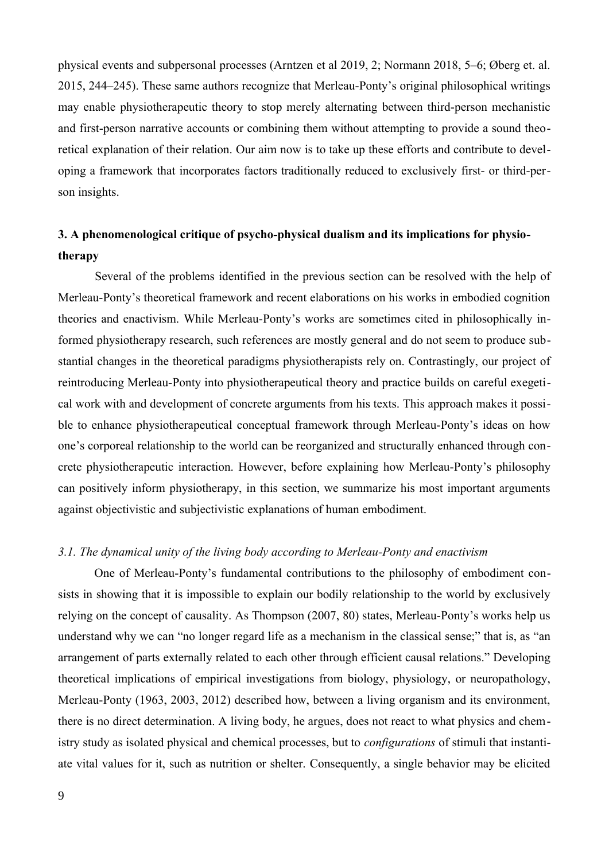physical events and subpersonal processes (Arntzen et al 2019, 2; Normann 2018, 5–6; Øberg et. al. 2015, 244–245). These same authors recognize that Merleau-Ponty's original philosophical writings may enable physiotherapeutic theory to stop merely alternating between third-person mechanistic and first-person narrative accounts or combining them without attempting to provide a sound theoretical explanation of their relation. Our aim now is to take up these efforts and contribute to developing a framework that incorporates factors traditionally reduced to exclusively first- or third-person insights.

# **3. A phenomenological critique of psycho-physical dualism and its implications for physiotherapy**

Several of the problems identified in the previous section can be resolved with the help of Merleau-Ponty's theoretical framework and recent elaborations on his works in embodied cognition theories and enactivism. While Merleau-Ponty's works are sometimes cited in philosophically informed physiotherapy research, such references are mostly general and do not seem to produce substantial changes in the theoretical paradigms physiotherapists rely on. Contrastingly, our project of reintroducing Merleau-Ponty into physiotherapeutical theory and practice builds on careful exegetical work with and development of concrete arguments from his texts. This approach makes it possible to enhance physiotherapeutical conceptual framework through Merleau-Ponty's ideas on how one's corporeal relationship to the world can be reorganized and structurally enhanced through concrete physiotherapeutic interaction. However, before explaining how Merleau-Ponty's philosophy can positively inform physiotherapy, in this section, we summarize his most important arguments against objectivistic and subjectivistic explanations of human embodiment.

# *3.1. The dynamical unity of the living body according to Merleau-Ponty and enactivism*

One of Merleau-Ponty's fundamental contributions to the philosophy of embodiment consists in showing that it is impossible to explain our bodily relationship to the world by exclusively relying on the concept of causality. As Thompson (2007, 80) states, Merleau-Ponty's works help us understand why we can "no longer regard life as a mechanism in the classical sense;" that is, as "an arrangement of parts externally related to each other through efficient causal relations." Developing theoretical implications of empirical investigations from biology, physiology, or neuropathology, Merleau-Ponty (1963, 2003, 2012) described how, between a living organism and its environment, there is no direct determination. A living body, he argues, does not react to what physics and chemistry study as isolated physical and chemical processes, but to *configurations* of stimuli that instantiate vital values for it, such as nutrition or shelter. Consequently, a single behavior may be elicited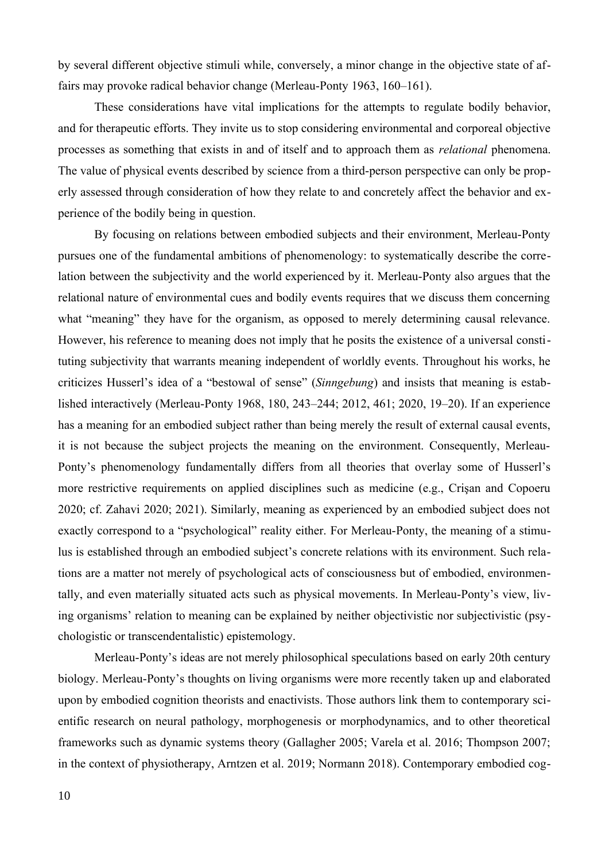by several different objective stimuli while, conversely, a minor change in the objective state of affairs may provoke radical behavior change (Merleau-Ponty 1963, 160–161).

These considerations have vital implications for the attempts to regulate bodily behavior, and for therapeutic efforts. They invite us to stop considering environmental and corporeal objective processes as something that exists in and of itself and to approach them as *relational* phenomena. The value of physical events described by science from a third-person perspective can only be properly assessed through consideration of how they relate to and concretely affect the behavior and experience of the bodily being in question.

By focusing on relations between embodied subjects and their environment, Merleau-Ponty pursues one of the fundamental ambitions of phenomenology: to systematically describe the correlation between the subjectivity and the world experienced by it. Merleau-Ponty also argues that the relational nature of environmental cues and bodily events requires that we discuss them concerning what "meaning" they have for the organism, as opposed to merely determining causal relevance. However, his reference to meaning does not imply that he posits the existence of a universal constituting subjectivity that warrants meaning independent of worldly events. Throughout his works, he criticizes Husserl's idea of a "bestowal of sense" (*Sinngebung*) and insists that meaning is established interactively (Merleau-Ponty 1968, 180, 243–244; 2012, 461; 2020, 19–20). If an experience has a meaning for an embodied subject rather than being merely the result of external causal events, it is not because the subject projects the meaning on the environment. Consequently, Merleau-Ponty's phenomenology fundamentally differs from all theories that overlay some of Husserl's more restrictive requirements on applied disciplines such as medicine (e.g., Crişan and Copoeru 2020; cf. Zahavi 2020; 2021). Similarly, meaning as experienced by an embodied subject does not exactly correspond to a "psychological" reality either. For Merleau-Ponty, the meaning of a stimulus is established through an embodied subject's concrete relations with its environment. Such relations are a matter not merely of psychological acts of consciousness but of embodied, environmentally, and even materially situated acts such as physical movements. In Merleau-Ponty's view, living organisms' relation to meaning can be explained by neither objectivistic nor subjectivistic (psychologistic or transcendentalistic) epistemology.

Merleau-Ponty's ideas are not merely philosophical speculations based on early 20th century biology. Merleau-Ponty's thoughts on living organisms were more recently taken up and elaborated upon by embodied cognition theorists and enactivists. Those authors link them to contemporary scientific research on neural pathology, morphogenesis or morphodynamics, and to other theoretical frameworks such as dynamic systems theory (Gallagher 2005; Varela et al. 2016; Thompson 2007; in the context of physiotherapy, Arntzen et al. 2019; Normann 2018). Contemporary embodied cog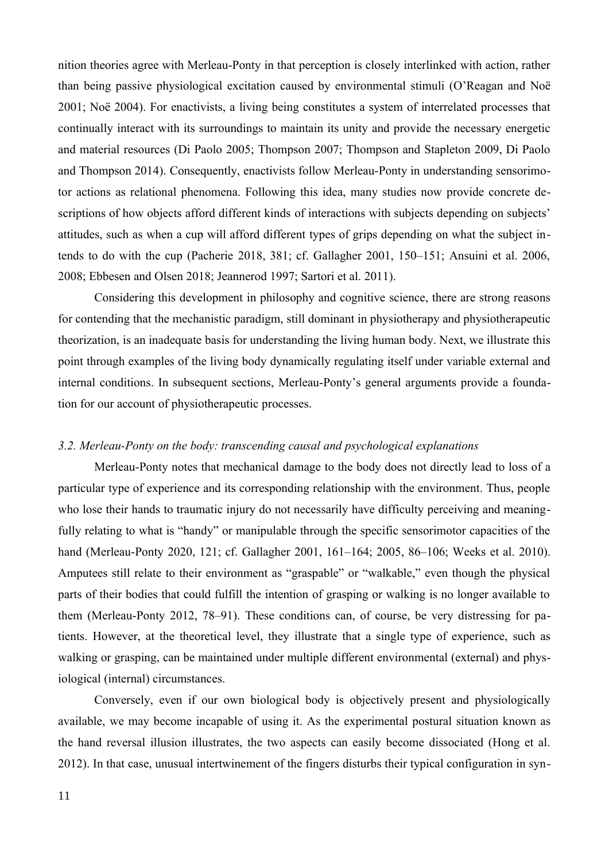nition theories agree with Merleau-Ponty in that perception is closely interlinked with action, rather than being passive physiological excitation caused by environmental stimuli (O'Reagan and Noë 2001; Noë 2004). For enactivists, a living being constitutes a system of interrelated processes that continually interact with its surroundings to maintain its unity and provide the necessary energetic and material resources (Di Paolo 2005; Thompson 2007; Thompson and Stapleton 2009, Di Paolo and Thompson 2014). Consequently, enactivists follow Merleau-Ponty in understanding sensorimotor actions as relational phenomena. Following this idea, many studies now provide concrete descriptions of how objects afford different kinds of interactions with subjects depending on subjects' attitudes, such as when a cup will afford different types of grips depending on what the subject intends to do with the cup (Pacherie 2018, 381; cf. Gallagher 2001, 150–151; Ansuini et al. 2006, 2008; Ebbesen and Olsen 2018; Jeannerod 1997; Sartori et al. 2011).

Considering this development in philosophy and cognitive science, there are strong reasons for contending that the mechanistic paradigm, still dominant in physiotherapy and physiotherapeutic theorization, is an inadequate basis for understanding the living human body. Next, we illustrate this point through examples of the living body dynamically regulating itself under variable external and internal conditions. In subsequent sections, Merleau-Ponty's general arguments provide a foundation for our account of physiotherapeutic processes.

# *3.2. Merleau-Ponty on the body: transcending causal and psychological explanations*

Merleau-Ponty notes that mechanical damage to the body does not directly lead to loss of a particular type of experience and its corresponding relationship with the environment. Thus, people who lose their hands to traumatic injury do not necessarily have difficulty perceiving and meaningfully relating to what is "handy" or manipulable through the specific sensorimotor capacities of the hand (Merleau-Ponty 2020, 121; cf. Gallagher 2001, 161–164; 2005, 86–106; Weeks et al. 2010). Amputees still relate to their environment as "graspable" or "walkable," even though the physical parts of their bodies that could fulfill the intention of grasping or walking is no longer available to them (Merleau-Ponty 2012, 78–91). These conditions can, of course, be very distressing for patients. However, at the theoretical level, they illustrate that a single type of experience, such as walking or grasping, can be maintained under multiple different environmental (external) and physiological (internal) circumstances.

Conversely, even if our own biological body is objectively present and physiologically available, we may become incapable of using it. As the experimental postural situation known as the hand reversal illusion illustrates, the two aspects can easily become dissociated (Hong et al. 2012). In that case, unusual intertwinement of the fingers disturbs their typical configuration in syn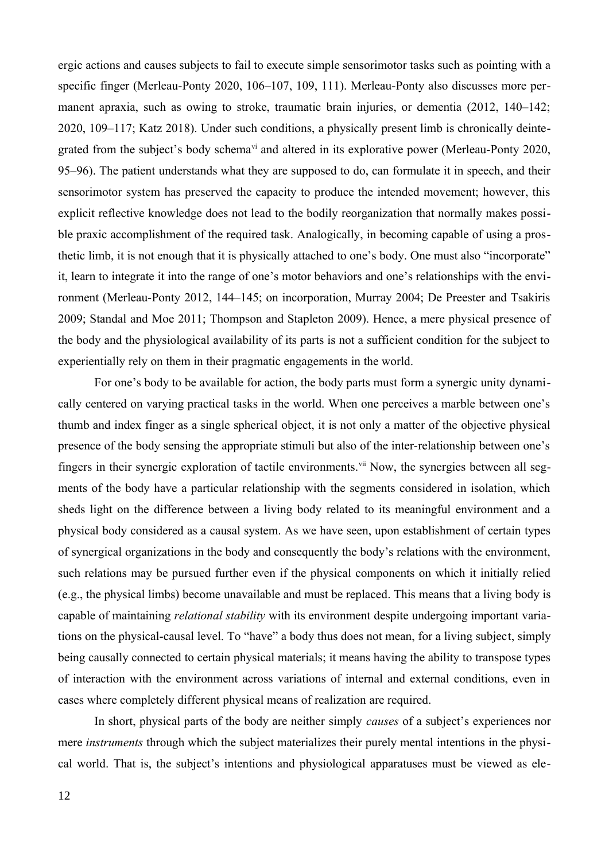<span id="page-11-0"></span>ergic actions and causes subjects to fail to execute simple sensorimotor tasks such as pointing with a specific finger (Merleau-Ponty 2020, 106–107, 109, 111). Merleau-Ponty also discusses more permanent apraxia, such as owing to stroke, traumatic brain injuries, or dementia (2012, 140–142; 2020, 109–117; Katz 2018). Under such conditions, a physically present limb is chronically deintegrated from the subject's body schema<sup>[vi](#page-42-5)</sup> and altered in its explorative power (Merleau-Ponty 2020, 95–96). The patient understands what they are supposed to do, can formulate it in speech, and their sensorimotor system has preserved the capacity to produce the intended movement; however, this explicit reflective knowledge does not lead to the bodily reorganization that normally makes possible praxic accomplishment of the required task. Analogically, in becoming capable of using a prosthetic limb, it is not enough that it is physically attached to one's body. One must also "incorporate" it, learn to integrate it into the range of one's motor behaviors and one's relationships with the environment (Merleau-Ponty 2012, 144–145; on incorporation, Murray 2004; De Preester and Tsakiris 2009; Standal and Moe 2011; Thompson and Stapleton 2009). Hence, a mere physical presence of the body and the physiological availability of its parts is not a sufficient condition for the subject to experientially rely on them in their pragmatic engagements in the world.

<span id="page-11-1"></span>For one's body to be available for action, the body parts must form a synergic unity dynamically centered on varying practical tasks in the world. When one perceives a marble between one's thumb and index finger as a single spherical object, it is not only a matter of the objective physical presence of the body sensing the appropriate stimuli but also of the inter-relationship between one's fingers in their synergic exploration of tactile environments.<sup>[vii](#page-42-6)</sup> Now, the synergies between all segments of the body have a particular relationship with the segments considered in isolation, which sheds light on the difference between a living body related to its meaningful environment and a physical body considered as a causal system. As we have seen, upon establishment of certain types of synergical organizations in the body and consequently the body's relations with the environment, such relations may be pursued further even if the physical components on which it initially relied (e.g., the physical limbs) become unavailable and must be replaced. This means that a living body is capable of maintaining *relational stability* with its environment despite undergoing important variations on the physical-causal level. To "have" a body thus does not mean, for a living subject, simply being causally connected to certain physical materials; it means having the ability to transpose types of interaction with the environment across variations of internal and external conditions, even in cases where completely different physical means of realization are required.

In short, physical parts of the body are neither simply *causes* of a subject's experiences nor mere *instruments* through which the subject materializes their purely mental intentions in the physical world. That is, the subject's intentions and physiological apparatuses must be viewed as ele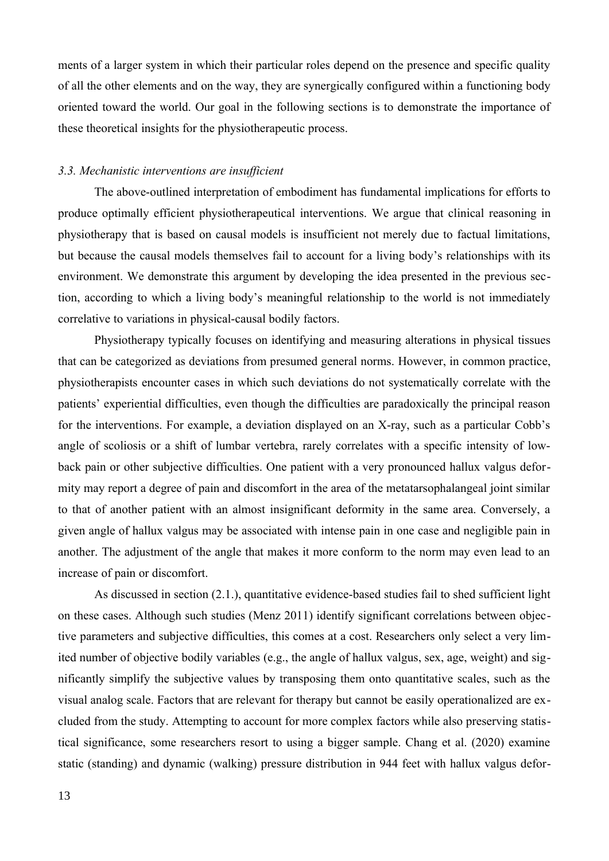ments of a larger system in which their particular roles depend on the presence and specific quality of all the other elements and on the way, they are synergically configured within a functioning body oriented toward the world. Our goal in the following sections is to demonstrate the importance of these theoretical insights for the physiotherapeutic process.

#### *3.3. Mechanistic interventions are insufficient*

The above-outlined interpretation of embodiment has fundamental implications for efforts to produce optimally efficient physiotherapeutical interventions. We argue that clinical reasoning in physiotherapy that is based on causal models is insufficient not merely due to factual limitations, but because the causal models themselves fail to account for a living body's relationships with its environment. We demonstrate this argument by developing the idea presented in the previous section, according to which a living body's meaningful relationship to the world is not immediately correlative to variations in physical-causal bodily factors.

Physiotherapy typically focuses on identifying and measuring alterations in physical tissues that can be categorized as deviations from presumed general norms. However, in common practice, physiotherapists encounter cases in which such deviations do not systematically correlate with the patients' experiential difficulties, even though the difficulties are paradoxically the principal reason for the interventions. For example, a deviation displayed on an X-ray, such as a particular Cobb's angle of scoliosis or a shift of lumbar vertebra, rarely correlates with a specific intensity of lowback pain or other subjective difficulties. One patient with a very pronounced hallux valgus deformity may report a degree of pain and discomfort in the area of the metatarsophalangeal joint similar to that of another patient with an almost insignificant deformity in the same area. Conversely, a given angle of hallux valgus may be associated with intense pain in one case and negligible pain in another. The adjustment of the angle that makes it more conform to the norm may even lead to an increase of pain or discomfort.

As discussed in section (2.1.), quantitative evidence-based studies fail to shed sufficient light on these cases. Although such studies (Menz 2011) identify significant correlations between objective parameters and subjective difficulties, this comes at a cost. Researchers only select a very limited number of objective bodily variables (e.g., the angle of hallux valgus, sex, age, weight) and significantly simplify the subjective values by transposing them onto quantitative scales, such as the visual analog scale. Factors that are relevant for therapy but cannot be easily operationalized are excluded from the study. Attempting to account for more complex factors while also preserving statistical significance, some researchers resort to using a bigger sample. Chang et al. (2020) examine static (standing) and dynamic (walking) pressure distribution in 944 feet with hallux valgus defor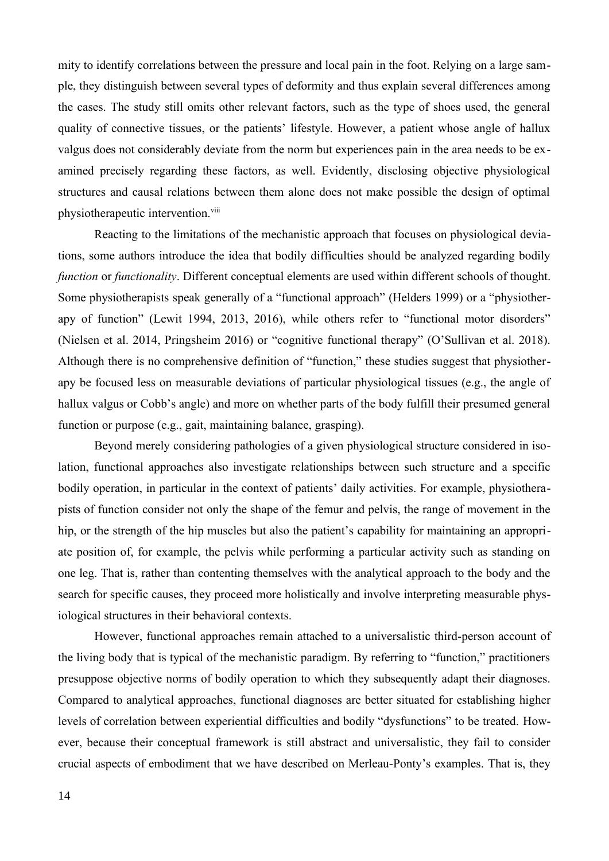mity to identify correlations between the pressure and local pain in the foot. Relying on a large sample, they distinguish between several types of deformity and thus explain several differences among the cases. The study still omits other relevant factors, such as the type of shoes used, the general quality of connective tissues, or the patients' lifestyle. However, a patient whose angle of hallux valgus does not considerably deviate from the norm but experiences pain in the area needs to be examined precisely regarding these factors, as well. Evidently, disclosing objective physiological structures and causal relations between them alone does not make possible the design of optimal physiotherapeutic intervention.<sup>[viii](#page-42-7)</sup>

<span id="page-13-0"></span>Reacting to the limitations of the mechanistic approach that focuses on physiological deviations, some authors introduce the idea that bodily difficulties should be analyzed regarding bodily *function* or *functionality*. Different conceptual elements are used within different schools of thought. Some physiotherapists speak generally of a "functional approach" (Helders 1999) or a "physiotherapy of function" (Lewit 1994, 2013, 2016), while others refer to "functional motor disorders" (Nielsen et al. 2014, Pringsheim 2016) or "cognitive functional therapy" (O'Sullivan et al. 2018). Although there is no comprehensive definition of "function," these studies suggest that physiotherapy be focused less on measurable deviations of particular physiological tissues (e.g., the angle of hallux valgus or Cobb's angle) and more on whether parts of the body fulfill their presumed general function or purpose (e.g., gait, maintaining balance, grasping).

Beyond merely considering pathologies of a given physiological structure considered in isolation, functional approaches also investigate relationships between such structure and a specific bodily operation, in particular in the context of patients' daily activities. For example, physiotherapists of function consider not only the shape of the femur and pelvis, the range of movement in the hip, or the strength of the hip muscles but also the patient's capability for maintaining an appropriate position of, for example, the pelvis while performing a particular activity such as standing on one leg. That is, rather than contenting themselves with the analytical approach to the body and the search for specific causes, they proceed more holistically and involve interpreting measurable physiological structures in their behavioral contexts.

However, functional approaches remain attached to a universalistic third-person account of the living body that is typical of the mechanistic paradigm. By referring to "function," practitioners presuppose objective norms of bodily operation to which they subsequently adapt their diagnoses. Compared to analytical approaches, functional diagnoses are better situated for establishing higher levels of correlation between experiential difficulties and bodily "dysfunctions" to be treated. However, because their conceptual framework is still abstract and universalistic, they fail to consider crucial aspects of embodiment that we have described on Merleau-Ponty's examples. That is, they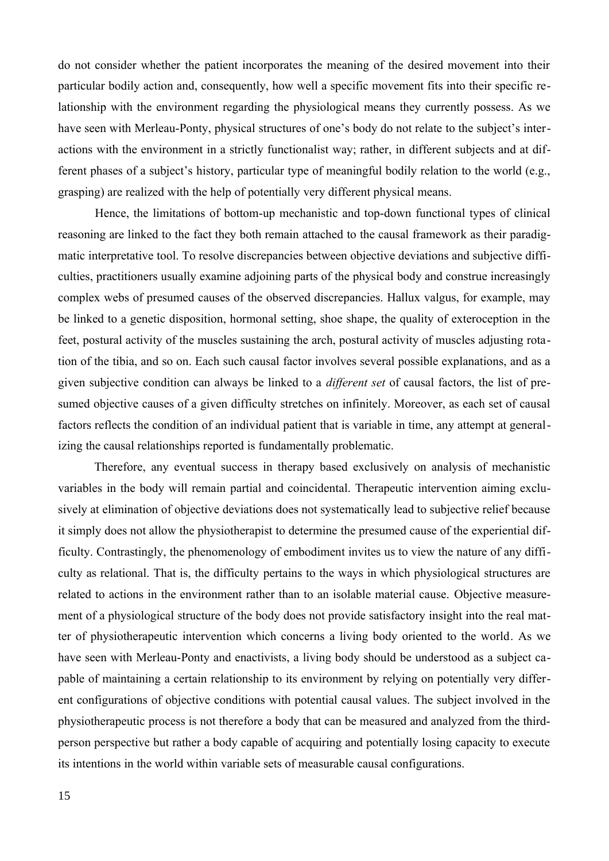do not consider whether the patient incorporates the meaning of the desired movement into their particular bodily action and, consequently, how well a specific movement fits into their specific relationship with the environment regarding the physiological means they currently possess. As we have seen with Merleau-Ponty, physical structures of one's body do not relate to the subject's interactions with the environment in a strictly functionalist way; rather, in different subjects and at different phases of a subject's history, particular type of meaningful bodily relation to the world (e.g., grasping) are realized with the help of potentially very different physical means.

Hence, the limitations of bottom-up mechanistic and top-down functional types of clinical reasoning are linked to the fact they both remain attached to the causal framework as their paradigmatic interpretative tool. To resolve discrepancies between objective deviations and subjective difficulties, practitioners usually examine adjoining parts of the physical body and construe increasingly complex webs of presumed causes of the observed discrepancies. Hallux valgus, for example, may be linked to a genetic disposition, hormonal setting, shoe shape, the quality of exteroception in the feet, postural activity of the muscles sustaining the arch, postural activity of muscles adjusting rotation of the tibia, and so on. Each such causal factor involves several possible explanations, and as a given subjective condition can always be linked to a *different set* of causal factors, the list of presumed objective causes of a given difficulty stretches on infinitely. Moreover, as each set of causal factors reflects the condition of an individual patient that is variable in time, any attempt at generalizing the causal relationships reported is fundamentally problematic.

Therefore, any eventual success in therapy based exclusively on analysis of mechanistic variables in the body will remain partial and coincidental. Therapeutic intervention aiming exclusively at elimination of objective deviations does not systematically lead to subjective relief because it simply does not allow the physiotherapist to determine the presumed cause of the experiential difficulty. Contrastingly, the phenomenology of embodiment invites us to view the nature of any difficulty as relational. That is, the difficulty pertains to the ways in which physiological structures are related to actions in the environment rather than to an isolable material cause. Objective measurement of a physiological structure of the body does not provide satisfactory insight into the real matter of physiotherapeutic intervention which concerns a living body oriented to the world. As we have seen with Merleau-Ponty and enactivists, a living body should be understood as a subject capable of maintaining a certain relationship to its environment by relying on potentially very different configurations of objective conditions with potential causal values. The subject involved in the physiotherapeutic process is not therefore a body that can be measured and analyzed from the thirdperson perspective but rather a body capable of acquiring and potentially losing capacity to execute its intentions in the world within variable sets of measurable causal configurations.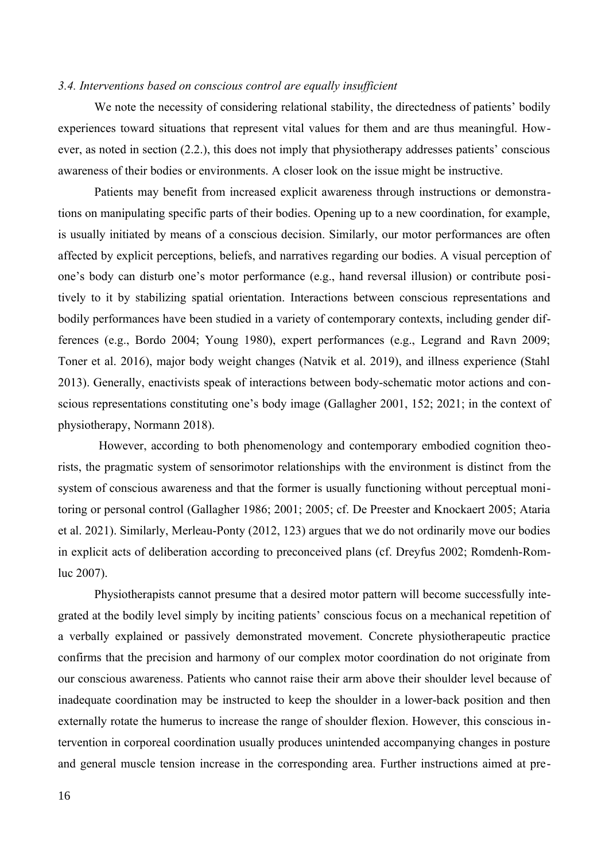#### *3.4. Interventions based on conscious control are equally insufficient*

We note the necessity of considering relational stability, the directedness of patients' bodily experiences toward situations that represent vital values for them and are thus meaningful. However, as noted in section (2.2.), this does not imply that physiotherapy addresses patients' conscious awareness of their bodies or environments. A closer look on the issue might be instructive.

Patients may benefit from increased explicit awareness through instructions or demonstrations on manipulating specific parts of their bodies. Opening up to a new coordination, for example, is usually initiated by means of a conscious decision. Similarly, our motor performances are often affected by explicit perceptions, beliefs, and narratives regarding our bodies. A visual perception of one's body can disturb one's motor performance (e.g., hand reversal illusion) or contribute positively to it by stabilizing spatial orientation. Interactions between conscious representations and bodily performances have been studied in a variety of contemporary contexts, including gender differences (e.g., Bordo 2004; Young 1980), expert performances (e.g., Legrand and Ravn 2009; Toner et al. 2016), major body weight changes (Natvik et al. 2019), and illness experience (Stahl 2013). Generally, enactivists speak of interactions between body-schematic motor actions and conscious representations constituting one's body image (Gallagher 2001, 152; 2021; in the context of physiotherapy, Normann 2018).

 However, according to both phenomenology and contemporary embodied cognition theorists, the pragmatic system of sensorimotor relationships with the environment is distinct from the system of conscious awareness and that the former is usually functioning without perceptual monitoring or personal control (Gallagher 1986; 2001; 2005; cf. De Preester and Knockaert 2005; Ataria et al. 2021). Similarly, Merleau-Ponty (2012, 123) argues that we do not ordinarily move our bodies in explicit acts of deliberation according to preconceived plans (cf. Dreyfus 2002; Romdenh-Romluc 2007).

Physiotherapists cannot presume that a desired motor pattern will become successfully integrated at the bodily level simply by inciting patients' conscious focus on a mechanical repetition of a verbally explained or passively demonstrated movement. Concrete physiotherapeutic practice confirms that the precision and harmony of our complex motor coordination do not originate from our conscious awareness. Patients who cannot raise their arm above their shoulder level because of inadequate coordination may be instructed to keep the shoulder in a lower-back position and then externally rotate the humerus to increase the range of shoulder flexion. However, this conscious intervention in corporeal coordination usually produces unintended accompanying changes in posture and general muscle tension increase in the corresponding area. Further instructions aimed at pre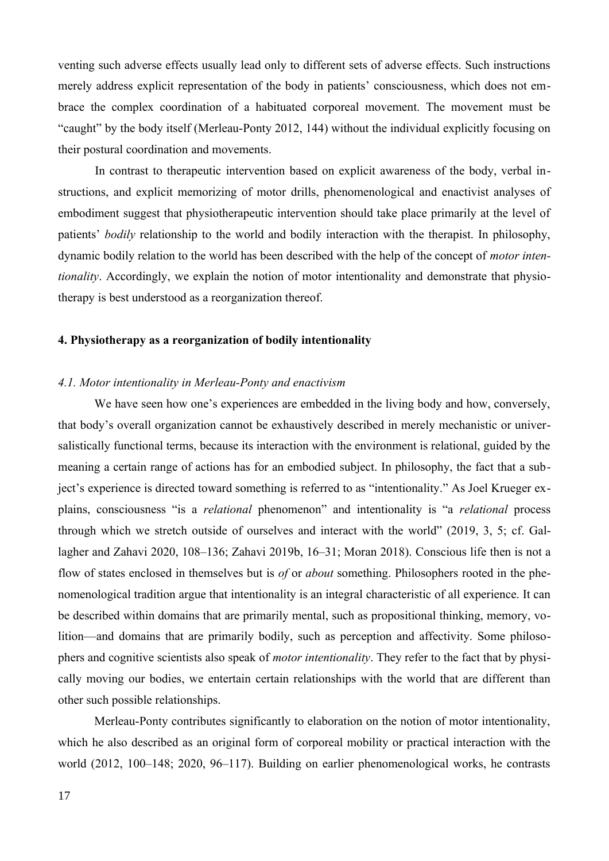venting such adverse effects usually lead only to different sets of adverse effects. Such instructions merely address explicit representation of the body in patients' consciousness, which does not embrace the complex coordination of a habituated corporeal movement. The movement must be "caught" by the body itself (Merleau-Ponty 2012, 144) without the individual explicitly focusing on their postural coordination and movements.

In contrast to therapeutic intervention based on explicit awareness of the body, verbal instructions, and explicit memorizing of motor drills, phenomenological and enactivist analyses of embodiment suggest that physiotherapeutic intervention should take place primarily at the level of patients' *bodily* relationship to the world and bodily interaction with the therapist. In philosophy, dynamic bodily relation to the world has been described with the help of the concept of *motor intentionality*. Accordingly, we explain the notion of motor intentionality and demonstrate that physiotherapy is best understood as a reorganization thereof.

#### **4. Physiotherapy as a reorganization of bodily intentionality**

#### *4.1. Motor intentionality in Merleau-Ponty and enactivism*

We have seen how one's experiences are embedded in the living body and how, conversely, that body's overall organization cannot be exhaustively described in merely mechanistic or universalistically functional terms, because its interaction with the environment is relational, guided by the meaning a certain range of actions has for an embodied subject. In philosophy, the fact that a subject's experience is directed toward something is referred to as "intentionality." As Joel Krueger explains, consciousness "is a *relational* phenomenon" and intentionality is "a *relational* process through which we stretch outside of ourselves and interact with the world" (2019, 3, 5; cf. Gallagher and Zahavi 2020, 108–136; Zahavi 2019b, 16–31; Moran 2018). Conscious life then is not a flow of states enclosed in themselves but is *of* or *about* something. Philosophers rooted in the phenomenological tradition argue that intentionality is an integral characteristic of all experience. It can be described within domains that are primarily mental, such as propositional thinking, memory, volition—and domains that are primarily bodily, such as perception and affectivity. Some philosophers and cognitive scientists also speak of *motor intentionality*. They refer to the fact that by physically moving our bodies, we entertain certain relationships with the world that are different than other such possible relationships.

Merleau-Ponty contributes significantly to elaboration on the notion of motor intentionality, which he also described as an original form of corporeal mobility or practical interaction with the world (2012, 100–148; 2020, 96–117). Building on earlier phenomenological works, he contrasts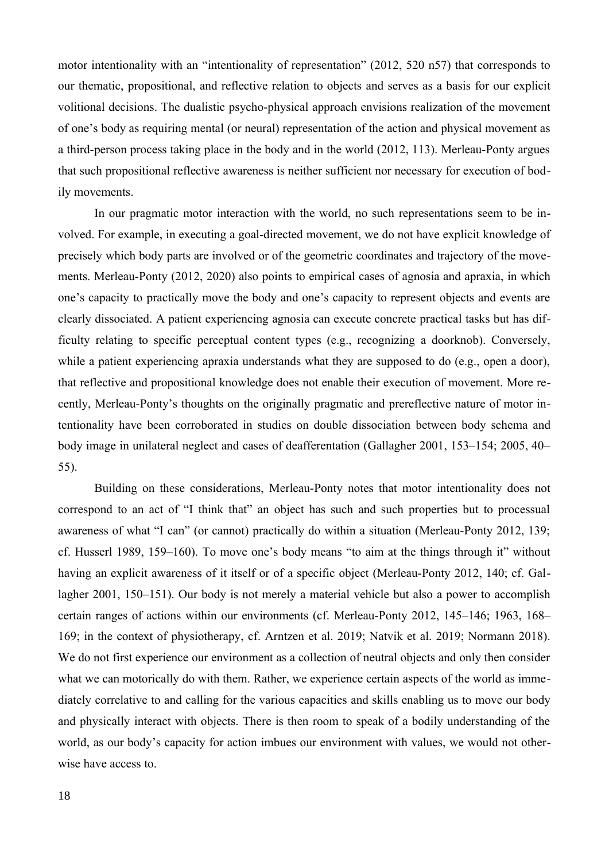motor intentionality with an "intentionality of representation" (2012, 520 n57) that corresponds to our thematic, propositional, and reflective relation to objects and serves as a basis for our explicit volitional decisions. The dualistic psycho-physical approach envisions realization of the movement of one's body as requiring mental (or neural) representation of the action and physical movement as a third-person process taking place in the body and in the world (2012, 113). Merleau-Ponty argues that such propositional reflective awareness is neither sufficient nor necessary for execution of bodily movements.

In our pragmatic motor interaction with the world, no such representations seem to be involved. For example, in executing a goal-directed movement, we do not have explicit knowledge of precisely which body parts are involved or of the geometric coordinates and trajectory of the movements. Merleau-Ponty (2012, 2020) also points to empirical cases of agnosia and apraxia, in which one's capacity to practically move the body and one's capacity to represent objects and events are clearly dissociated. A patient experiencing agnosia can execute concrete practical tasks but has difficulty relating to specific perceptual content types (e.g., recognizing a doorknob). Conversely, while a patient experiencing apraxia understands what they are supposed to do (e.g., open a door), that reflective and propositional knowledge does not enable their execution of movement. More recently, Merleau-Ponty's thoughts on the originally pragmatic and prereflective nature of motor intentionality have been corroborated in studies on double dissociation between body schema and body image in unilateral neglect and cases of deafferentation (Gallagher 2001, 153–154; 2005, 40– 55).

Building on these considerations, Merleau-Ponty notes that motor intentionality does not correspond to an act of "I think that" an object has such and such properties but to processual awareness of what "I can" (or cannot) practically do within a situation (Merleau-Ponty 2012, 139; cf. Husserl 1989, 159–160). To move one's body means "to aim at the things through it" without having an explicit awareness of it itself or of a specific object (Merleau-Ponty 2012, 140; cf. Gallagher 2001, 150–151). Our body is not merely a material vehicle but also a power to accomplish certain ranges of actions within our environments (cf. Merleau-Ponty 2012, 145–146; 1963, 168– 169; in the context of physiotherapy, cf. Arntzen et al. 2019; Natvik et al. 2019; Normann 2018). We do not first experience our environment as a collection of neutral objects and only then consider what we can motorically do with them. Rather, we experience certain aspects of the world as immediately correlative to and calling for the various capacities and skills enabling us to move our body and physically interact with objects. There is then room to speak of a bodily understanding of the world, as our body's capacity for action imbues our environment with values, we would not otherwise have access to.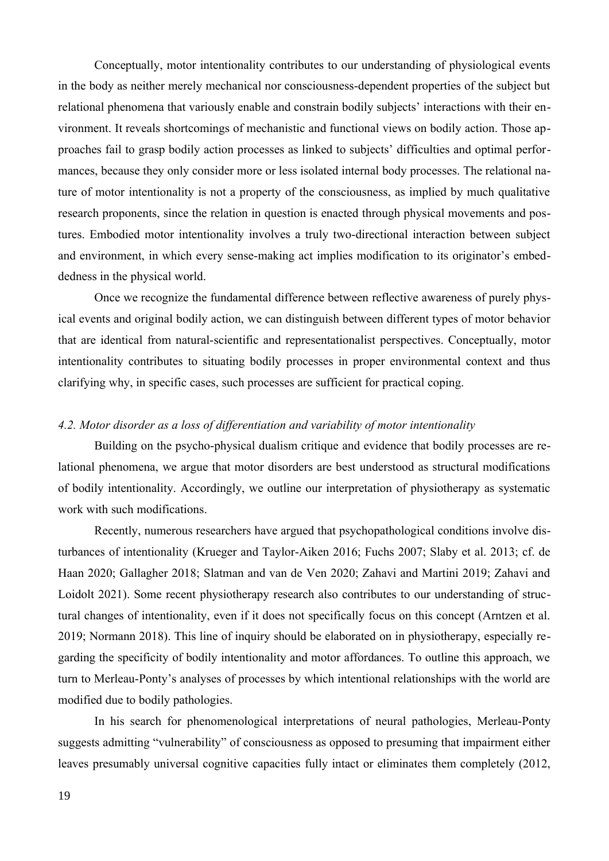Conceptually, motor intentionality contributes to our understanding of physiological events in the body as neither merely mechanical nor consciousness-dependent properties of the subject but relational phenomena that variously enable and constrain bodily subjects' interactions with their environment. It reveals shortcomings of mechanistic and functional views on bodily action. Those approaches fail to grasp bodily action processes as linked to subjects' difficulties and optimal performances, because they only consider more or less isolated internal body processes. The relational nature of motor intentionality is not a property of the consciousness, as implied by much qualitative research proponents, since the relation in question is enacted through physical movements and postures. Embodied motor intentionality involves a truly two-directional interaction between subject and environment, in which every sense-making act implies modification to its originator's embeddedness in the physical world.

Once we recognize the fundamental difference between reflective awareness of purely physical events and original bodily action, we can distinguish between different types of motor behavior that are identical from natural-scientific and representationalist perspectives. Conceptually, motor intentionality contributes to situating bodily processes in proper environmental context and thus clarifying why, in specific cases, such processes are sufficient for practical coping.

#### *4.2. Motor disorder as a loss of differentiation and variability of motor intentionality*

Building on the psycho-physical dualism critique and evidence that bodily processes are relational phenomena, we argue that motor disorders are best understood as structural modifications of bodily intentionality. Accordingly, we outline our interpretation of physiotherapy as systematic work with such modifications.

Recently, numerous researchers have argued that psychopathological conditions involve disturbances of intentionality (Krueger and Taylor-Aiken 2016; Fuchs 2007; Slaby et al. 2013; cf. de Haan 2020; Gallagher 2018; Slatman and van de Ven 2020; Zahavi and Martini 2019; Zahavi and Loidolt 2021). Some recent physiotherapy research also contributes to our understanding of structural changes of intentionality, even if it does not specifically focus on this concept (Arntzen et al. 2019; Normann 2018). This line of inquiry should be elaborated on in physiotherapy, especially regarding the specificity of bodily intentionality and motor affordances. To outline this approach, we turn to Merleau-Ponty's analyses of processes by which intentional relationships with the world are modified due to bodily pathologies.

In his search for phenomenological interpretations of neural pathologies, Merleau-Ponty suggests admitting "vulnerability" of consciousness as opposed to presuming that impairment either leaves presumably universal cognitive capacities fully intact or eliminates them completely (2012,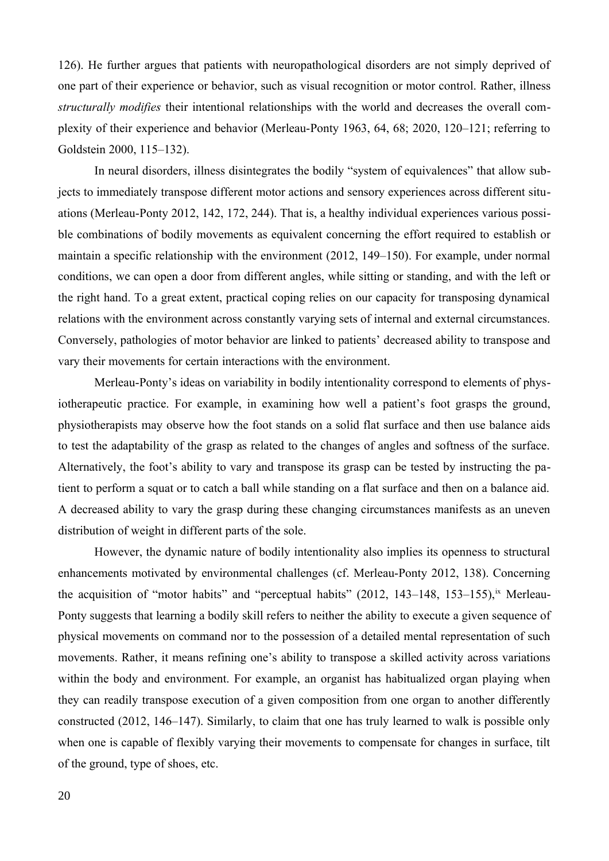126). He further argues that patients with neuropathological disorders are not simply deprived of one part of their experience or behavior, such as visual recognition or motor control. Rather, illness *structurally modifies* their intentional relationships with the world and decreases the overall complexity of their experience and behavior (Merleau-Ponty 1963, 64, 68; 2020, 120–121; referring to Goldstein 2000, 115–132).

In neural disorders, illness disintegrates the bodily "system of equivalences" that allow subjects to immediately transpose different motor actions and sensory experiences across different situations (Merleau-Ponty 2012, 142, 172, 244). That is, a healthy individual experiences various possible combinations of bodily movements as equivalent concerning the effort required to establish or maintain a specific relationship with the environment (2012, 149–150). For example, under normal conditions, we can open a door from different angles, while sitting or standing, and with the left or the right hand. To a great extent, practical coping relies on our capacity for transposing dynamical relations with the environment across constantly varying sets of internal and external circumstances. Conversely, pathologies of motor behavior are linked to patients' decreased ability to transpose and vary their movements for certain interactions with the environment.

Merleau-Ponty's ideas on variability in bodily intentionality correspond to elements of physiotherapeutic practice. For example, in examining how well a patient's foot grasps the ground, physiotherapists may observe how the foot stands on a solid flat surface and then use balance aids to test the adaptability of the grasp as related to the changes of angles and softness of the surface. Alternatively, the foot's ability to vary and transpose its grasp can be tested by instructing the patient to perform a squat or to catch a ball while standing on a flat surface and then on a balance aid. A decreased ability to vary the grasp during these changing circumstances manifests as an uneven distribution of weight in different parts of the sole.

<span id="page-19-0"></span>However, the dynamic nature of bodily intentionality also implies its openness to structural enhancements motivated by environmental challenges (cf. Merleau-Ponty 2012, 138). Concerning the acquisition of "motor habits" and "perceptual habits"  $(2012, 143-148, 153-155)$ , [ix](#page-42-8) Merleau-Ponty suggests that learning a bodily skill refers to neither the ability to execute a given sequence of physical movements on command nor to the possession of a detailed mental representation of such movements. Rather, it means refining one's ability to transpose a skilled activity across variations within the body and environment. For example, an organist has habitualized organ playing when they can readily transpose execution of a given composition from one organ to another differently constructed (2012, 146–147). Similarly, to claim that one has truly learned to walk is possible only when one is capable of flexibly varying their movements to compensate for changes in surface, tilt of the ground, type of shoes, etc.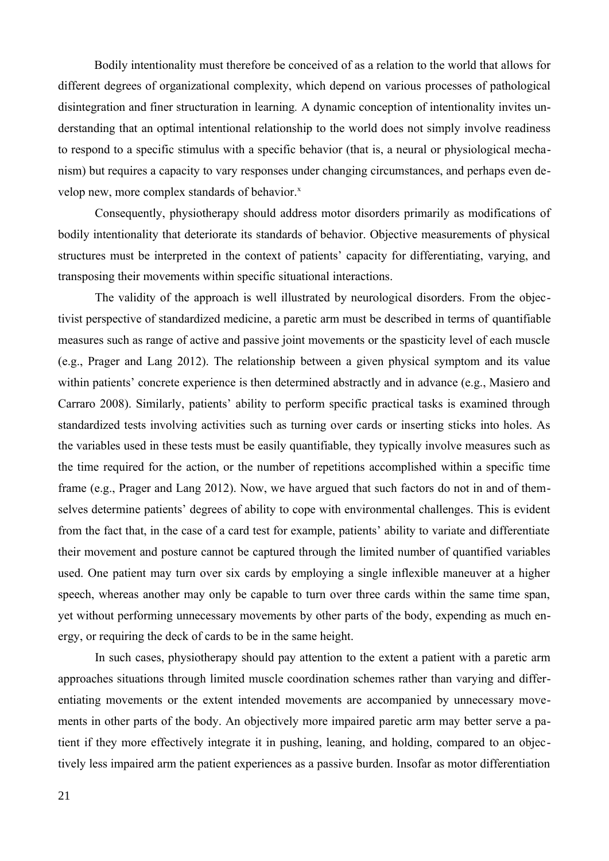Bodily intentionality must therefore be conceived of as a relation to the world that allows for different degrees of organizational complexity, which depend on various processes of pathological disintegration and finer structuration in learning*.* A dynamic conception of intentionality invites understanding that an optimal intentional relationship to the world does not simply involve readiness to respond to a specific stimulus with a specific behavior (that is, a neural or physiological mechanism) but requires a capacity to vary responses under changing circumstances, and perhaps even develop new, more comple[x](#page-42-9) standards of behavior.<sup>x</sup>

<span id="page-20-0"></span>Consequently, physiotherapy should address motor disorders primarily as modifications of bodily intentionality that deteriorate its standards of behavior. Objective measurements of physical structures must be interpreted in the context of patients' capacity for differentiating, varying, and transposing their movements within specific situational interactions.

The validity of the approach is well illustrated by neurological disorders. From the objectivist perspective of standardized medicine, a paretic arm must be described in terms of quantifiable measures such as range of active and passive joint movements or the spasticity level of each muscle (e.g., Prager and Lang 2012). The relationship between a given physical symptom and its value within patients' concrete experience is then determined abstractly and in advance (e.g., Masiero and Carraro 2008). Similarly, patients' ability to perform specific practical tasks is examined through standardized tests involving activities such as turning over cards or inserting sticks into holes. As the variables used in these tests must be easily quantifiable, they typically involve measures such as the time required for the action, or the number of repetitions accomplished within a specific time frame (e.g., Prager and Lang 2012). Now, we have argued that such factors do not in and of themselves determine patients' degrees of ability to cope with environmental challenges. This is evident from the fact that, in the case of a card test for example, patients' ability to variate and differentiate their movement and posture cannot be captured through the limited number of quantified variables used. One patient may turn over six cards by employing a single inflexible maneuver at a higher speech, whereas another may only be capable to turn over three cards within the same time span, yet without performing unnecessary movements by other parts of the body, expending as much energy, or requiring the deck of cards to be in the same height.

In such cases, physiotherapy should pay attention to the extent a patient with a paretic arm approaches situations through limited muscle coordination schemes rather than varying and differentiating movements or the extent intended movements are accompanied by unnecessary movements in other parts of the body. An objectively more impaired paretic arm may better serve a patient if they more effectively integrate it in pushing, leaning, and holding, compared to an objectively less impaired arm the patient experiences as a passive burden. Insofar as motor differentiation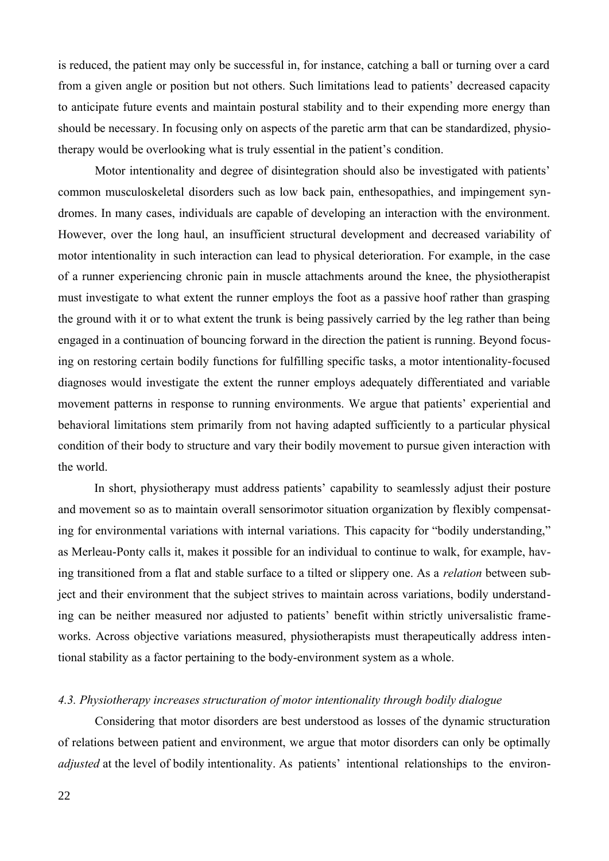is reduced, the patient may only be successful in, for instance, catching a ball or turning over a card from a given angle or position but not others. Such limitations lead to patients' decreased capacity to anticipate future events and maintain postural stability and to their expending more energy than should be necessary. In focusing only on aspects of the paretic arm that can be standardized, physiotherapy would be overlooking what is truly essential in the patient's condition.

Motor intentionality and degree of disintegration should also be investigated with patients' common musculoskeletal disorders such as low back pain, enthesopathies, and impingement syndromes. In many cases, individuals are capable of developing an interaction with the environment. However, over the long haul, an insufficient structural development and decreased variability of motor intentionality in such interaction can lead to physical deterioration. For example, in the case of a runner experiencing chronic pain in muscle attachments around the knee, the physiotherapist must investigate to what extent the runner employs the foot as a passive hoof rather than grasping the ground with it or to what extent the trunk is being passively carried by the leg rather than being engaged in a continuation of bouncing forward in the direction the patient is running. Beyond focusing on restoring certain bodily functions for fulfilling specific tasks, a motor intentionality-focused diagnoses would investigate the extent the runner employs adequately differentiated and variable movement patterns in response to running environments. We argue that patients' experiential and behavioral limitations stem primarily from not having adapted sufficiently to a particular physical condition of their body to structure and vary their bodily movement to pursue given interaction with the world.

In short, physiotherapy must address patients' capability to seamlessly adjust their posture and movement so as to maintain overall sensorimotor situation organization by flexibly compensating for environmental variations with internal variations. This capacity for "bodily understanding," as Merleau-Ponty calls it, makes it possible for an individual to continue to walk, for example, having transitioned from a flat and stable surface to a tilted or slippery one. As a *relation* between subject and their environment that the subject strives to maintain across variations, bodily understanding can be neither measured nor adjusted to patients' benefit within strictly universalistic frameworks. Across objective variations measured, physiotherapists must therapeutically address intentional stability as a factor pertaining to the body-environment system as a whole.

# *4.3. Physiotherapy increases structuration of motor intentionality through bodily dialogue*

Considering that motor disorders are best understood as losses of the dynamic structuration of relations between patient and environment, we argue that motor disorders can only be optimally *adjusted* at the level of bodily intentionality. As patients' intentional relationships to the environ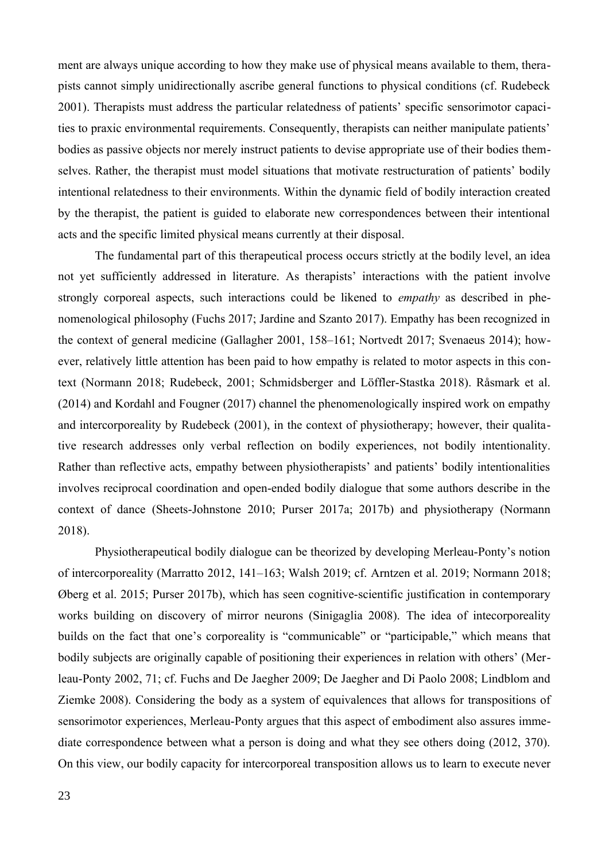ment are always unique according to how they make use of physical means available to them, therapists cannot simply unidirectionally ascribe general functions to physical conditions (cf. Rudebeck 2001). Therapists must address the particular relatedness of patients' specific sensorimotor capacities to praxic environmental requirements. Consequently, therapists can neither manipulate patients' bodies as passive objects nor merely instruct patients to devise appropriate use of their bodies themselves. Rather, the therapist must model situations that motivate restructuration of patients' bodily intentional relatedness to their environments. Within the dynamic field of bodily interaction created by the therapist, the patient is guided to elaborate new correspondences between their intentional acts and the specific limited physical means currently at their disposal.

The fundamental part of this therapeutical process occurs strictly at the bodily level, an idea not yet sufficiently addressed in literature. As therapists' interactions with the patient involve strongly corporeal aspects, such interactions could be likened to *empathy* as described in phenomenological philosophy (Fuchs 2017; Jardine and Szanto 2017). Empathy has been recognized in the context of general medicine (Gallagher 2001, 158–161; Nortvedt 2017; Svenaeus 2014); however, relatively little attention has been paid to how empathy is related to motor aspects in this context (Normann 2018; Rudebeck, 2001; Schmidsberger and Löffler-Stastka 2018). Råsmark et al. (2014) and Kordahl and Fougner (2017) channel the phenomenologically inspired work on empathy and intercorporeality by Rudebeck (2001), in the context of physiotherapy; however, their qualitative research addresses only verbal reflection on bodily experiences, not bodily intentionality. Rather than reflective acts, empathy between physiotherapists' and patients' bodily intentionalities involves reciprocal coordination and open-ended bodily dialogue that some authors describe in the context of dance (Sheets-Johnstone 2010; Purser 2017a; 2017b) and physiotherapy (Normann 2018).

Physiotherapeutical bodily dialogue can be theorized by developing Merleau-Ponty's notion of intercorporeality (Marratto 2012, 141–163; Walsh 2019; cf. Arntzen et al. 2019; Normann 2018; Øberg et al. 2015; Purser 2017b), which has seen cognitive-scientific justification in contemporary works building on discovery of mirror neurons (Sinigaglia 2008). The idea of intecorporeality builds on the fact that one's corporeality is "communicable" or "participable," which means that bodily subjects are originally capable of positioning their experiences in relation with others' (Merleau-Ponty 2002, 71; cf. Fuchs and De Jaegher 2009; De Jaegher and Di Paolo 2008; Lindblom and Ziemke 2008). Considering the body as a system of equivalences that allows for transpositions of sensorimotor experiences, Merleau-Ponty argues that this aspect of embodiment also assures immediate correspondence between what a person is doing and what they see others doing (2012, 370). On this view, our bodily capacity for intercorporeal transposition allows us to learn to execute never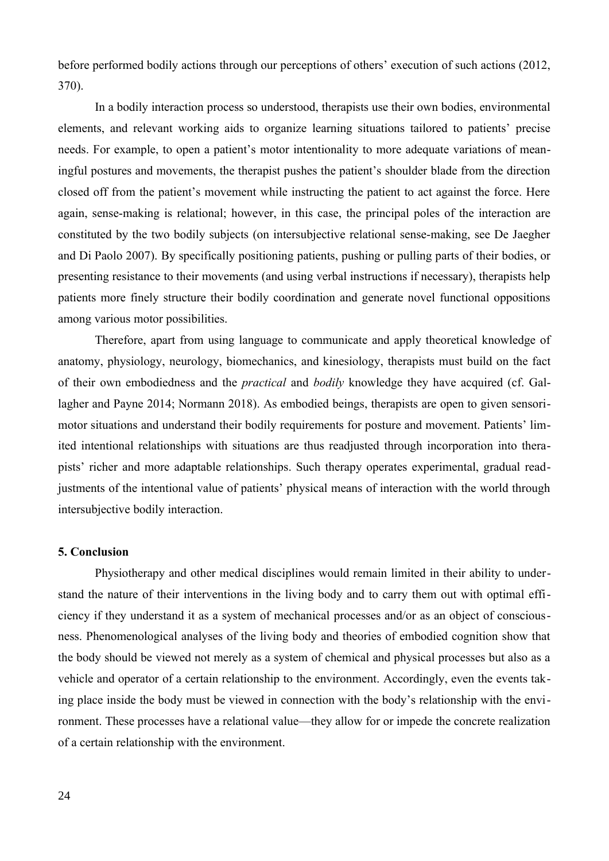before performed bodily actions through our perceptions of others' execution of such actions (2012, 370).

In a bodily interaction process so understood, therapists use their own bodies, environmental elements, and relevant working aids to organize learning situations tailored to patients' precise needs. For example, to open a patient's motor intentionality to more adequate variations of meaningful postures and movements, the therapist pushes the patient's shoulder blade from the direction closed off from the patient's movement while instructing the patient to act against the force. Here again, sense-making is relational; however, in this case, the principal poles of the interaction are constituted by the two bodily subjects (on intersubjective relational sense-making, see De Jaegher and Di Paolo 2007). By specifically positioning patients, pushing or pulling parts of their bodies, or presenting resistance to their movements (and using verbal instructions if necessary), therapists help patients more finely structure their bodily coordination and generate novel functional oppositions among various motor possibilities.

Therefore, apart from using language to communicate and apply theoretical knowledge of anatomy, physiology, neurology, biomechanics, and kinesiology, therapists must build on the fact of their own embodiedness and the *practical* and *bodily* knowledge they have acquired (cf. Gallagher and Payne 2014; Normann 2018). As embodied beings, therapists are open to given sensorimotor situations and understand their bodily requirements for posture and movement. Patients' limited intentional relationships with situations are thus readjusted through incorporation into therapists' richer and more adaptable relationships. Such therapy operates experimental, gradual readjustments of the intentional value of patients' physical means of interaction with the world through intersubjective bodily interaction.

#### **5. Conclusion**

Physiotherapy and other medical disciplines would remain limited in their ability to understand the nature of their interventions in the living body and to carry them out with optimal efficiency if they understand it as a system of mechanical processes and/or as an object of consciousness. Phenomenological analyses of the living body and theories of embodied cognition show that the body should be viewed not merely as a system of chemical and physical processes but also as a vehicle and operator of a certain relationship to the environment. Accordingly, even the events taking place inside the body must be viewed in connection with the body's relationship with the environment. These processes have a relational value—they allow for or impede the concrete realization of a certain relationship with the environment.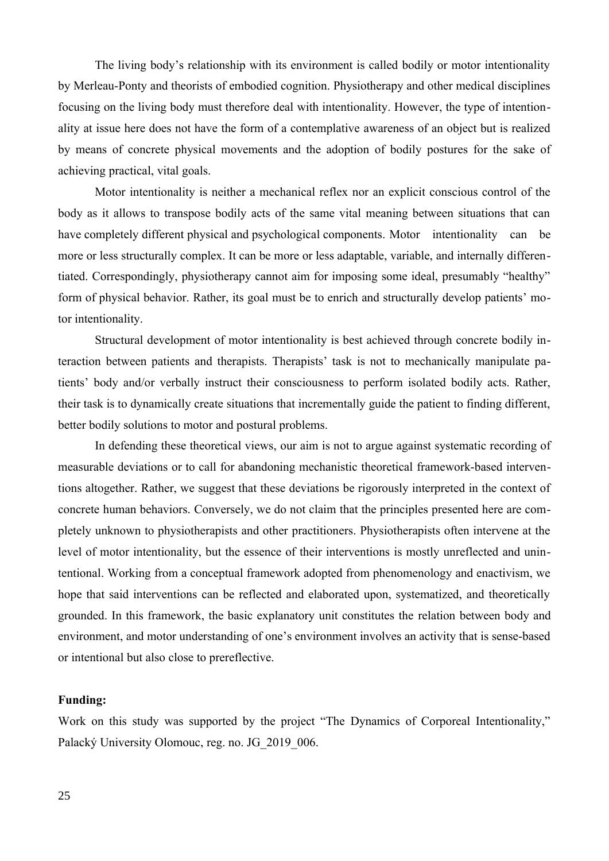The living body's relationship with its environment is called bodily or motor intentionality by Merleau-Ponty and theorists of embodied cognition. Physiotherapy and other medical disciplines focusing on the living body must therefore deal with intentionality. However, the type of intentionality at issue here does not have the form of a contemplative awareness of an object but is realized by means of concrete physical movements and the adoption of bodily postures for the sake of achieving practical, vital goals.

Motor intentionality is neither a mechanical reflex nor an explicit conscious control of the body as it allows to transpose bodily acts of the same vital meaning between situations that can have completely different physical and psychological components. Motor intentionality can be more or less structurally complex. It can be more or less adaptable, variable, and internally differentiated. Correspondingly, physiotherapy cannot aim for imposing some ideal, presumably "healthy" form of physical behavior. Rather, its goal must be to enrich and structurally develop patients' motor intentionality.

Structural development of motor intentionality is best achieved through concrete bodily interaction between patients and therapists. Therapists' task is not to mechanically manipulate patients' body and/or verbally instruct their consciousness to perform isolated bodily acts. Rather, their task is to dynamically create situations that incrementally guide the patient to finding different, better bodily solutions to motor and postural problems.

In defending these theoretical views, our aim is not to argue against systematic recording of measurable deviations or to call for abandoning mechanistic theoretical framework-based interventions altogether. Rather, we suggest that these deviations be rigorously interpreted in the context of concrete human behaviors. Conversely, we do not claim that the principles presented here are completely unknown to physiotherapists and other practitioners. Physiotherapists often intervene at the level of motor intentionality, but the essence of their interventions is mostly unreflected and unintentional. Working from a conceptual framework adopted from phenomenology and enactivism, we hope that said interventions can be reflected and elaborated upon, systematized, and theoretically grounded. In this framework, the basic explanatory unit constitutes the relation between body and environment, and motor understanding of one's environment involves an activity that is sense-based or intentional but also close to prereflective.

# **Funding:**

Work on this study was supported by the project "The Dynamics of Corporeal Intentionality," Palacký University Olomouc, reg. no. JG\_2019\_006.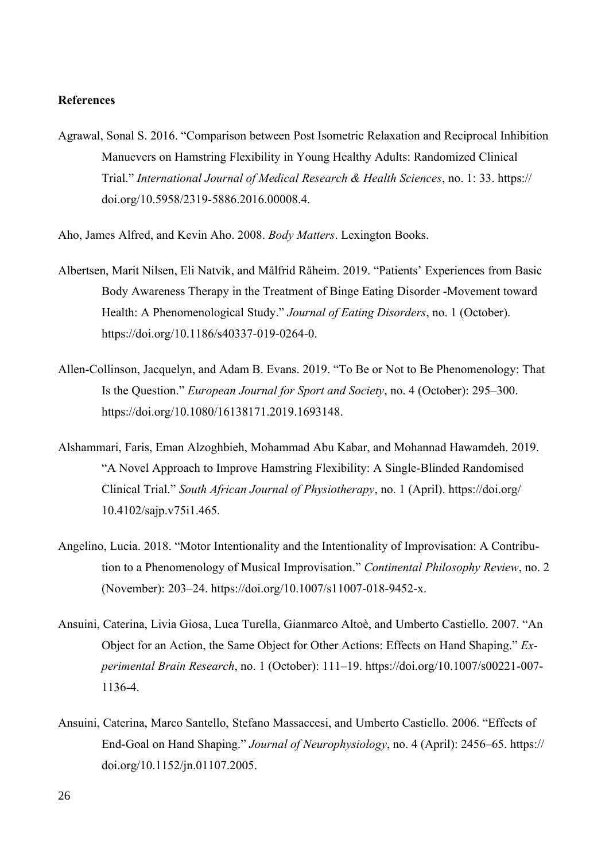#### **References**

Agrawal, Sonal S. 2016. "Comparison between Post Isometric Relaxation and Reciprocal Inhibition Manuevers on Hamstring Flexibility in Young Healthy Adults: Randomized Clinical Trial." *International Journal of Medical Research & Health Sciences*, no. 1: 33. https:// doi.org/10.5958/2319-5886.2016.00008.4.

Aho, James Alfred, and Kevin Aho. 2008. *Body Matters*. Lexington Books.

- Albertsen, Marit Nilsen, Eli Natvik, and Målfrid Råheim. 2019. "Patients' Experiences from Basic Body Awareness Therapy in the Treatment of Binge Eating Disorder -Movement toward Health: A Phenomenological Study." *Journal of Eating Disorders*, no. 1 (October). https://doi.org/10.1186/s40337-019-0264-0.
- Allen-Collinson, Jacquelyn, and Adam B. Evans. 2019. "To Be or Not to Be Phenomenology: That Is the Question." *European Journal for Sport and Society*, no. 4 (October): 295–300. https://doi.org/10.1080/16138171.2019.1693148.
- Alshammari, Faris, Eman Alzoghbieh, Mohammad Abu Kabar, and Mohannad Hawamdeh. 2019. "A Novel Approach to Improve Hamstring Flexibility: A Single-Blinded Randomised Clinical Trial." *South African Journal of Physiotherapy*, no. 1 (April). https://doi.org/ 10.4102/sajp.v75i1.465.
- Angelino, Lucia. 2018. "Motor Intentionality and the Intentionality of Improvisation: A Contribution to a Phenomenology of Musical Improvisation." *Continental Philosophy Review*, no. 2 (November): 203–24. https://doi.org/10.1007/s11007-018-9452-x.
- Ansuini, Caterina, Livia Giosa, Luca Turella, Gianmarco Altoè, and Umberto Castiello. 2007. "An Object for an Action, the Same Object for Other Actions: Effects on Hand Shaping." *Experimental Brain Research*, no. 1 (October): 111–19. https://doi.org/10.1007/s00221-007- 1136-4.
- Ansuini, Caterina, Marco Santello, Stefano Massaccesi, and Umberto Castiello. 2006. "Effects of End-Goal on Hand Shaping." *Journal of Neurophysiology*, no. 4 (April): 2456–65. https:// doi.org/10.1152/jn.01107.2005.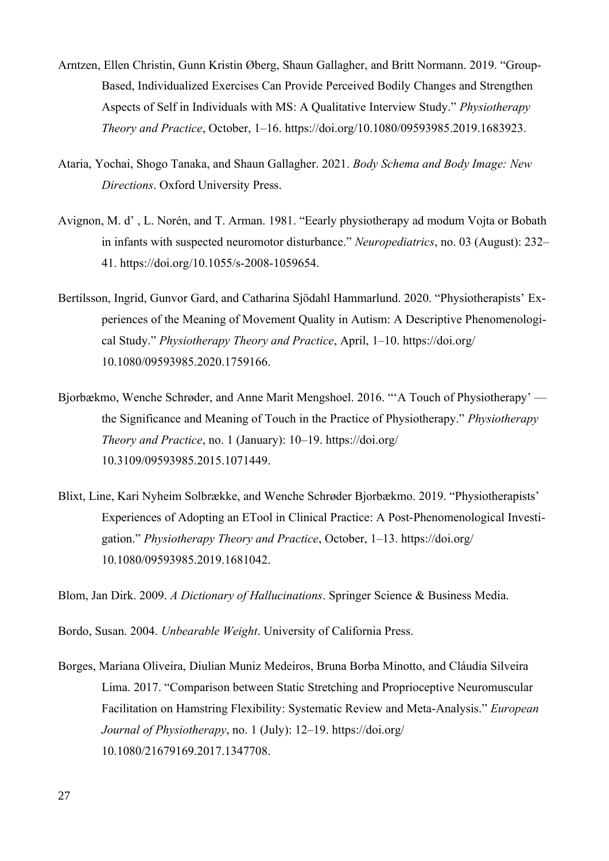- Arntzen, Ellen Christin, Gunn Kristin Øberg, Shaun Gallagher, and Britt Normann. 2019. "Group-Based, Individualized Exercises Can Provide Perceived Bodily Changes and Strengthen Aspects of Self in Individuals with MS: A Qualitative Interview Study." *Physiotherapy Theory and Practice*, October, 1–16. https://doi.org/10.1080/09593985.2019.1683923.
- Ataria, Yochai, Shogo Tanaka, and Shaun Gallagher. 2021. *Body Schema and Body Image: New Directions*. Oxford University Press.
- Avignon, M. d' , L. Norén, and T. Arman. 1981. "Eearly physiotherapy ad modum Vojta or Bobath in infants with suspected neuromotor disturbance." *Neuropediatrics*, no. 03 (August): 232– 41. https://doi.org/10.1055/s-2008-1059654.
- Bertilsson, Ingrid, Gunvor Gard, and Catharina Sjödahl Hammarlund. 2020. "Physiotherapists' Experiences of the Meaning of Movement Quality in Autism: A Descriptive Phenomenological Study." *Physiotherapy Theory and Practice*, April, 1–10. https://doi.org/ 10.1080/09593985.2020.1759166.
- Bjorbækmo, Wenche Schrøder, and Anne Marit Mengshoel. 2016. "'A Touch of Physiotherapy' the Significance and Meaning of Touch in the Practice of Physiotherapy." *Physiotherapy Theory and Practice*, no. 1 (January): 10–19. https://doi.org/ 10.3109/09593985.2015.1071449.
- Blixt, Line, Kari Nyheim Solbrække, and Wenche Schrøder Bjorbækmo. 2019. "Physiotherapists' Experiences of Adopting an ETool in Clinical Practice: A Post-Phenomenological Investigation." *Physiotherapy Theory and Practice*, October, 1–13. https://doi.org/ 10.1080/09593985.2019.1681042.

Blom, Jan Dirk. 2009. *A Dictionary of Hallucinations*. Springer Science & Business Media.

Bordo, Susan. 2004. *Unbearable Weight*. University of California Press.

Borges, Mariana Oliveira, Diulian Muniz Medeiros, Bruna Borba Minotto, and Cláudia Silveira Lima. 2017. "Comparison between Static Stretching and Proprioceptive Neuromuscular Facilitation on Hamstring Flexibility: Systematic Review and Meta-Analysis." *European Journal of Physiotherapy*, no. 1 (July): 12–19. https://doi.org/ 10.1080/21679169.2017.1347708.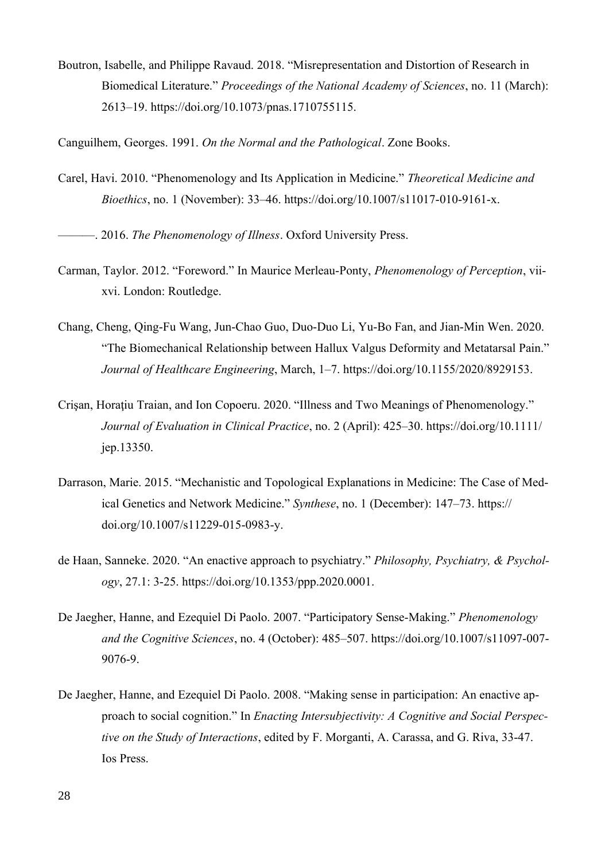Boutron, Isabelle, and Philippe Ravaud. 2018. "Misrepresentation and Distortion of Research in Biomedical Literature." *Proceedings of the National Academy of Sciences*, no. 11 (March): 2613–19. https://doi.org/10.1073/pnas.1710755115.

Canguilhem, Georges. 1991. *On the Normal and the Pathological*. Zone Books.

- Carel, Havi. 2010. "Phenomenology and Its Application in Medicine." *Theoretical Medicine and Bioethics*, no. 1 (November): 33–46. https://doi.org/10.1007/s11017-010-9161-x.
- ———. 2016. *The Phenomenology of Illness*. Oxford University Press.
- Carman, Taylor. 2012. "Foreword." In Maurice Merleau-Ponty, *Phenomenology of Perception*, viixvi. London: Routledge.
- Chang, Cheng, Qing-Fu Wang, Jun-Chao Guo, Duo-Duo Li, Yu-Bo Fan, and Jian-Min Wen. 2020. "The Biomechanical Relationship between Hallux Valgus Deformity and Metatarsal Pain." *Journal of Healthcare Engineering*, March, 1–7. https://doi.org/10.1155/2020/8929153.
- Crisan, Horatiu Traian, and Ion Copoeru. 2020. "Illness and Two Meanings of Phenomenology." *Journal of Evaluation in Clinical Practice*, no. 2 (April): 425–30. https://doi.org/10.1111/ jep.13350.
- Darrason, Marie. 2015. "Mechanistic and Topological Explanations in Medicine: The Case of Medical Genetics and Network Medicine." *Synthese*, no. 1 (December): 147–73. https:// doi.org/10.1007/s11229-015-0983-y.
- de Haan, Sanneke. 2020. "An enactive approach to psychiatry." *Philosophy, Psychiatry, & Psychology*, 27.1: 3-25. https://doi.org/10.1353/ppp.2020.0001.
- De Jaegher, Hanne, and Ezequiel Di Paolo. 2007. "Participatory Sense-Making." *Phenomenology and the Cognitive Sciences*, no. 4 (October): 485–507. https://doi.org/10.1007/s11097-007- 9076-9.
- De Jaegher, Hanne, and Ezequiel Di Paolo. 2008. "Making sense in participation: An enactive approach to social cognition." In *Enacting Intersubjectivity: A Cognitive and Social Perspective on the Study of Interactions*, edited by F. Morganti, A. Carassa, and G. Riva, 33-47. Ios Press.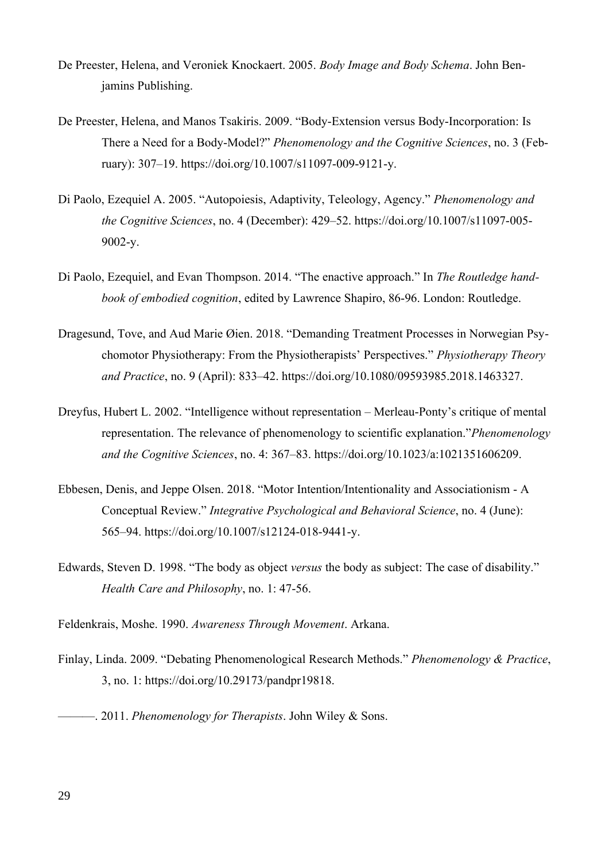- De Preester, Helena, and Veroniek Knockaert. 2005. *Body Image and Body Schema*. John Benjamins Publishing.
- De Preester, Helena, and Manos Tsakiris. 2009. "Body-Extension versus Body-Incorporation: Is There a Need for a Body-Model?" *Phenomenology and the Cognitive Sciences*, no. 3 (February): 307–19. https://doi.org/10.1007/s11097-009-9121-y.
- Di Paolo, Ezequiel A. 2005. "Autopoiesis, Adaptivity, Teleology, Agency." *Phenomenology and the Cognitive Sciences*, no. 4 (December): 429–52. https://doi.org/10.1007/s11097-005- 9002-y.
- Di Paolo, Ezequiel, and Evan Thompson. 2014. "The enactive approach." In *The Routledge handbook of embodied cognition*, edited by Lawrence Shapiro, 86-96. London: Routledge.
- Dragesund, Tove, and Aud Marie Øien. 2018. "Demanding Treatment Processes in Norwegian Psychomotor Physiotherapy: From the Physiotherapists' Perspectives." *Physiotherapy Theory and Practice*, no. 9 (April): 833–42. https://doi.org/10.1080/09593985.2018.1463327.
- Dreyfus, Hubert L. 2002. "Intelligence without representation Merleau-Ponty's critique of mental representation. The relevance of phenomenology to scientific explanation."*Phenomenology and the Cognitive Sciences*, no. 4: 367–83. https://doi.org/10.1023/a:1021351606209.
- Ebbesen, Denis, and Jeppe Olsen. 2018. "Motor Intention/Intentionality and Associationism A Conceptual Review." *Integrative Psychological and Behavioral Science*, no. 4 (June): 565–94. https://doi.org/10.1007/s12124-018-9441-y.
- Edwards, Steven D. 1998. "The body as object *versus* the body as subject: The case of disability." *Health Care and Philosophy*, no. 1: 47-56.

Feldenkrais, Moshe. 1990. *Awareness Through Movement*. Arkana.

- Finlay, Linda. 2009. "Debating Phenomenological Research Methods." *Phenomenology & Practice*, 3, no. 1: https://doi.org/10.29173/pandpr19818.
	- ———. 2011. *Phenomenology for Therapists*. John Wiley & Sons.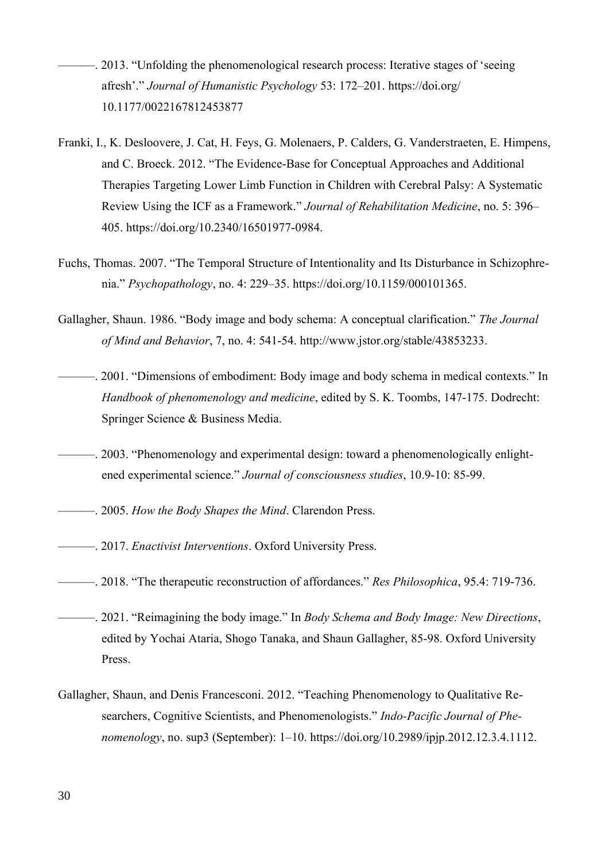- ———. 2013. "Unfolding the phenomenological research process: Iterative stages of 'seeing afresh'." *Journal of Humanistic Psychology* 53: 172–201. https://doi.org/ 10.1177/0022167812453877
- Franki, I., K. Desloovere, J. Cat, H. Feys, G. Molenaers, P. Calders, G. Vanderstraeten, E. Himpens, and C. Broeck. 2012. "The Evidence-Base for Conceptual Approaches and Additional Therapies Targeting Lower Limb Function in Children with Cerebral Palsy: A Systematic Review Using the ICF as a Framework." *Journal of Rehabilitation Medicine*, no. 5: 396– 405. https://doi.org/10.2340/16501977-0984.
- Fuchs, Thomas. 2007. "The Temporal Structure of Intentionality and Its Disturbance in Schizophrenia." *Psychopathology*, no. 4: 229–35. https://doi.org/10.1159/000101365.
- Gallagher, Shaun. 1986. "Body image and body schema: A conceptual clarification." *The Journal of Mind and Behavior*, 7, no. 4: 541-54. http://www.jstor.org/stable/43853233.
- ———. 2001. "Dimensions of embodiment: Body image and body schema in medical contexts." In *Handbook of phenomenology and medicine*, edited by S. K. Toombs, 147-175. Dodrecht: Springer Science & Business Media.
- ———. 2003. "Phenomenology and experimental design: toward a phenomenologically enlightened experimental science." *Journal of consciousness studies*, 10.9-10: 85-99.
- ———. 2005. *How the Body Shapes the Mind*. Clarendon Press.
- ———. 2017. *Enactivist Interventions*. Oxford University Press.
- ———. 2018. "The therapeutic reconstruction of affordances." *Res Philosophica*, 95.4: 719-736.
- ———. 2021. "Reimagining the body image." In *Body Schema and Body Image: New Directions*, edited by Yochai Ataria, Shogo Tanaka, and Shaun Gallagher, 85-98. Oxford University Press.
- Gallagher, Shaun, and Denis Francesconi. 2012. "Teaching Phenomenology to Qualitative Researchers, Cognitive Scientists, and Phenomenologists." *Indo-Pacific Journal of Phenomenology*, no. sup3 (September): 1–10. https://doi.org/10.2989/ipjp.2012.12.3.4.1112.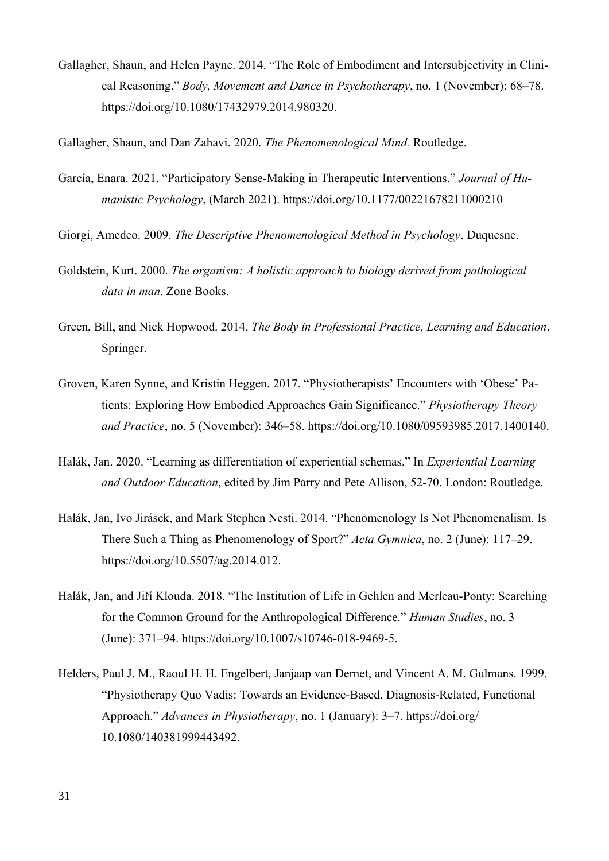Gallagher, Shaun, and Helen Payne. 2014. "The Role of Embodiment and Intersubjectivity in Clinical Reasoning." *Body, Movement and Dance in Psychotherapy*, no. 1 (November): 68–78. https://doi.org/10.1080/17432979.2014.980320.

Gallagher, Shaun, and Dan Zahavi. 2020. *The Phenomenological Mind.* Routledge.

- García, Enara. 2021. "Participatory Sense-Making in Therapeutic Interventions." *Journal of Humanistic Psychology*, (March 2021). https://doi.org/10.1177/00221678211000210
- Giorgi, Amedeo. 2009. *The Descriptive Phenomenological Method in Psychology*. Duquesne.
- Goldstein, Kurt. 2000. *The organism: A holistic approach to biology derived from pathological data in man*. Zone Books.
- Green, Bill, and Nick Hopwood. 2014. *The Body in Professional Practice, Learning and Education*. Springer.
- Groven, Karen Synne, and Kristin Heggen. 2017. "Physiotherapists' Encounters with 'Obese' Patients: Exploring How Embodied Approaches Gain Significance." *Physiotherapy Theory and Practice*, no. 5 (November): 346–58. https://doi.org/10.1080/09593985.2017.1400140.
- Halák, Jan. 2020. "Learning as differentiation of experiential schemas." In *Experiential Learning and Outdoor Education*, edited by Jim Parry and Pete Allison, 52-70. London: Routledge.
- Halák, Jan, Ivo Jirásek, and Mark Stephen Nesti. 2014. "Phenomenology Is Not Phenomenalism. Is There Such a Thing as Phenomenology of Sport?" *Acta Gymnica*, no. 2 (June): 117–29. https://doi.org/10.5507/ag.2014.012.
- Halák, Jan, and Jiří Klouda. 2018. "The Institution of Life in Gehlen and Merleau-Ponty: Searching for the Common Ground for the Anthropological Difference." *Human Studies*, no. 3 (June): 371–94. https://doi.org/10.1007/s10746-018-9469-5.
- Helders, Paul J. M., Raoul H. H. Engelbert, Janjaap van Dernet, and Vincent A. M. Gulmans. 1999. "Physiotherapy Quo Vadis: Towards an Evidence-Based, Diagnosis-Related, Functional Approach." *Advances in Physiotherapy*, no. 1 (January): 3–7. https://doi.org/ 10.1080/140381999443492.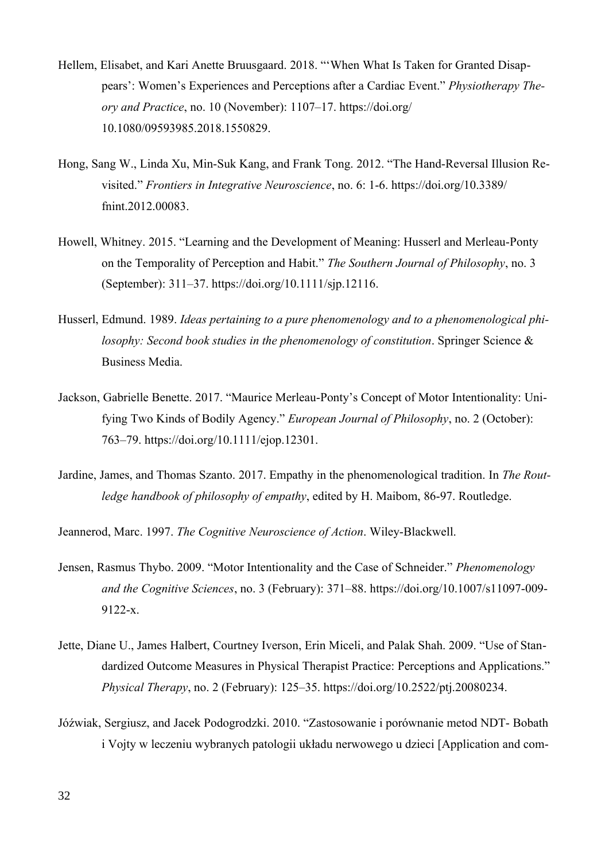- Hellem, Elisabet, and Kari Anette Bruusgaard. 2018. "'When What Is Taken for Granted Disappears': Women's Experiences and Perceptions after a Cardiac Event." *Physiotherapy Theory and Practice*, no. 10 (November): 1107–17. https://doi.org/ 10.1080/09593985.2018.1550829.
- Hong, Sang W., Linda Xu, Min-Suk Kang, and Frank Tong. 2012. "The Hand-Reversal Illusion Revisited." *Frontiers in Integrative Neuroscience*, no. 6: 1-6. https://doi.org/10.3389/ fnint.2012.00083.
- Howell, Whitney. 2015. "Learning and the Development of Meaning: Husserl and Merleau-Ponty on the Temporality of Perception and Habit." *The Southern Journal of Philosophy*, no. 3 (September): 311–37. https://doi.org/10.1111/sjp.12116.
- Husserl, Edmund. 1989. *Ideas pertaining to a pure phenomenology and to a phenomenological philosophy: Second book studies in the phenomenology of constitution*. Springer Science & Business Media.
- Jackson, Gabrielle Benette. 2017. "Maurice Merleau-Ponty's Concept of Motor Intentionality: Unifying Two Kinds of Bodily Agency." *European Journal of Philosophy*, no. 2 (October): 763–79. https://doi.org/10.1111/ejop.12301.
- Jardine, James, and Thomas Szanto. 2017. Empathy in the phenomenological tradition. In *The Routledge handbook of philosophy of empathy*, edited by H. Maibom, 86-97. Routledge.

Jeannerod, Marc. 1997. *The Cognitive Neuroscience of Action*. Wiley-Blackwell.

- Jensen, Rasmus Thybo. 2009. "Motor Intentionality and the Case of Schneider." *Phenomenology and the Cognitive Sciences*, no. 3 (February): 371–88. https://doi.org/10.1007/s11097-009- 9122-x.
- Jette, Diane U., James Halbert, Courtney Iverson, Erin Miceli, and Palak Shah. 2009. "Use of Standardized Outcome Measures in Physical Therapist Practice: Perceptions and Applications." *Physical Therapy*, no. 2 (February): 125–35. https://doi.org/10.2522/ptj.20080234.
- Jóźwiak, Sergiusz, and Jacek Podogrodzki. 2010. "Zastosowanie i porównanie metod NDT- Bobath i Vojty w leczeniu wybranych patologii układu nerwowego u dzieci [Application and com-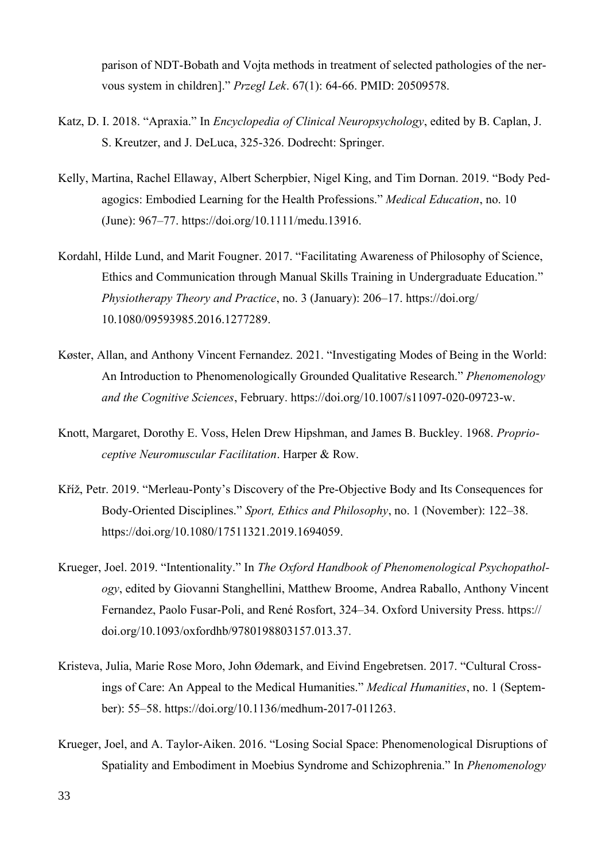parison of NDT-Bobath and Vojta methods in treatment of selected pathologies of the nervous system in children]." *Przegl Lek*. 67(1): 64-66. PMID: 20509578.

- Katz, D. I. 2018. "Apraxia." In *Encyclopedia of Clinical Neuropsychology*, edited by B. Caplan, J. S. Kreutzer, and J. DeLuca, 325-326. Dodrecht: Springer.
- Kelly, Martina, Rachel Ellaway, Albert Scherpbier, Nigel King, and Tim Dornan. 2019. "Body Pedagogics: Embodied Learning for the Health Professions." *Medical Education*, no. 10 (June): 967–77. https://doi.org/10.1111/medu.13916.
- Kordahl, Hilde Lund, and Marit Fougner. 2017. "Facilitating Awareness of Philosophy of Science, Ethics and Communication through Manual Skills Training in Undergraduate Education." *Physiotherapy Theory and Practice*, no. 3 (January): 206–17. https://doi.org/ 10.1080/09593985.2016.1277289.
- Køster, Allan, and Anthony Vincent Fernandez. 2021. "Investigating Modes of Being in the World: An Introduction to Phenomenologically Grounded Qualitative Research." *Phenomenology and the Cognitive Sciences*, February. https://doi.org/10.1007/s11097-020-09723-w.
- Knott, Margaret, Dorothy E. Voss, Helen Drew Hipshman, and James B. Buckley. 1968. *Proprioceptive Neuromuscular Facilitation*. Harper & Row.
- Kříž, Petr. 2019. "Merleau-Ponty's Discovery of the Pre-Objective Body and Its Consequences for Body-Oriented Disciplines." *Sport, Ethics and Philosophy*, no. 1 (November): 122–38. https://doi.org/10.1080/17511321.2019.1694059.
- Krueger, Joel. 2019. "Intentionality." In *The Oxford Handbook of Phenomenological Psychopathology*, edited by Giovanni Stanghellini, Matthew Broome, Andrea Raballo, Anthony Vincent Fernandez, Paolo Fusar-Poli, and René Rosfort, 324–34. Oxford University Press. https:// doi.org/10.1093/oxfordhb/9780198803157.013.37.
- Kristeva, Julia, Marie Rose Moro, John Ødemark, and Eivind Engebretsen. 2017. "Cultural Crossings of Care: An Appeal to the Medical Humanities." *Medical Humanities*, no. 1 (September): 55–58. https://doi.org/10.1136/medhum-2017-011263.
- Krueger, Joel, and A. Taylor-Aiken. 2016. "Losing Social Space: Phenomenological Disruptions of Spatiality and Embodiment in Moebius Syndrome and Schizophrenia." In *Phenomenology*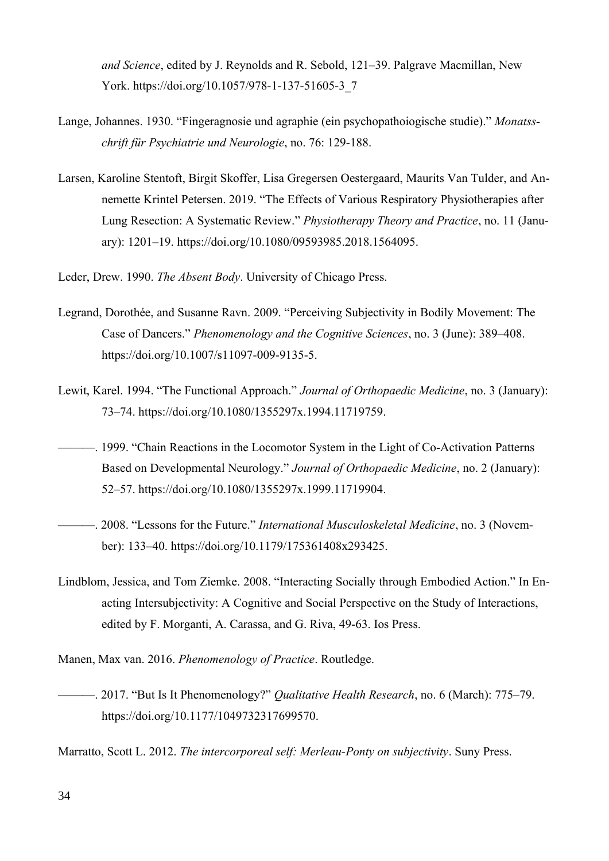*and Science*, edited by J. Reynolds and R. Sebold, 121–39. Palgrave Macmillan, New York. https://doi.org/10.1057/978-1-137-51605-3\_7

- Lange, Johannes. 1930. "Fingeragnosie und agraphie (ein psychopathoiogische studie)." *Monatsschrift für Psychiatrie und Neurologie*, no. 76: 129-188.
- Larsen, Karoline Stentoft, Birgit Skoffer, Lisa Gregersen Oestergaard, Maurits Van Tulder, and Annemette Krintel Petersen. 2019. "The Effects of Various Respiratory Physiotherapies after Lung Resection: A Systematic Review." *Physiotherapy Theory and Practice*, no. 11 (January): 1201–19. https://doi.org/10.1080/09593985.2018.1564095.
- Leder, Drew. 1990. *The Absent Body*. University of Chicago Press.
- Legrand, Dorothée, and Susanne Ravn. 2009. "Perceiving Subjectivity in Bodily Movement: The Case of Dancers." *Phenomenology and the Cognitive Sciences*, no. 3 (June): 389–408. https://doi.org/10.1007/s11097-009-9135-5.
- Lewit, Karel. 1994. "The Functional Approach." *Journal of Orthopaedic Medicine*, no. 3 (January): 73–74. https://doi.org/10.1080/1355297x.1994.11719759.
- ———. 1999. "Chain Reactions in the Locomotor System in the Light of Co-Activation Patterns Based on Developmental Neurology." *Journal of Orthopaedic Medicine*, no. 2 (January): 52–57. https://doi.org/10.1080/1355297x.1999.11719904.
- ———. 2008. "Lessons for the Future." *International Musculoskeletal Medicine*, no. 3 (November): 133–40. https://doi.org/10.1179/175361408x293425.
- Lindblom, Jessica, and Tom Ziemke. 2008. "Interacting Socially through Embodied Action." In Enacting Intersubjectivity: A Cognitive and Social Perspective on the Study of Interactions, edited by F. Morganti, A. Carassa, and G. Riva, 49-63. Ios Press.
- Manen, Max van. 2016. *Phenomenology of Practice*. Routledge.
- ———. 2017. "But Is It Phenomenology?" *Qualitative Health Research*, no. 6 (March): 775–79. https://doi.org/10.1177/1049732317699570.

Marratto, Scott L. 2012. *The intercorporeal self: Merleau-Ponty on subjectivity*. Suny Press.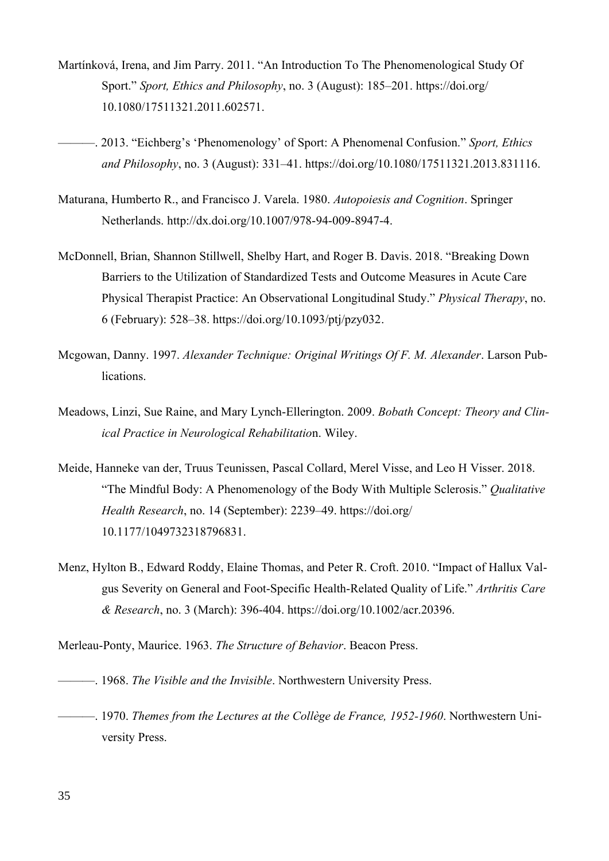- Martínková, Irena, and Jim Parry. 2011. "An Introduction To The Phenomenological Study Of Sport." *Sport, Ethics and Philosophy*, no. 3 (August): 185–201. https://doi.org/ 10.1080/17511321.2011.602571.
- ———. 2013. "Eichberg's 'Phenomenology' of Sport: A Phenomenal Confusion." *Sport, Ethics and Philosophy*, no. 3 (August): 331–41. https://doi.org/10.1080/17511321.2013.831116.
- Maturana, Humberto R., and Francisco J. Varela. 1980. *Autopoiesis and Cognition*. Springer Netherlands. http://dx.doi.org/10.1007/978-94-009-8947-4.
- McDonnell, Brian, Shannon Stillwell, Shelby Hart, and Roger B. Davis. 2018. "Breaking Down Barriers to the Utilization of Standardized Tests and Outcome Measures in Acute Care Physical Therapist Practice: An Observational Longitudinal Study." *Physical Therapy*, no. 6 (February): 528–38. https://doi.org/10.1093/ptj/pzy032.
- Mcgowan, Danny. 1997. *Alexander Technique: Original Writings Of F. M. Alexander*. Larson Publications.
- Meadows, Linzi, Sue Raine, and Mary Lynch-Ellerington. 2009. *Bobath Concept: Theory and Clinical Practice in Neurological Rehabilitatio*n. Wiley.
- Meide, Hanneke van der, Truus Teunissen, Pascal Collard, Merel Visse, and Leo H Visser. 2018. "The Mindful Body: A Phenomenology of the Body With Multiple Sclerosis." *Qualitative Health Research*, no. 14 (September): 2239–49. https://doi.org/ 10.1177/1049732318796831.
- Menz, Hylton B., Edward Roddy, Elaine Thomas, and Peter R. Croft. 2010. "Impact of Hallux Valgus Severity on General and Foot-Specific Health-Related Quality of Life." *Arthritis Care & Research*, no. 3 (March): 396-404. https://doi.org/10.1002/acr.20396.
- Merleau-Ponty, Maurice. 1963. *The Structure of Behavior*. Beacon Press.
- ———. 1968. *The Visible and the Invisible*. Northwestern University Press.
- ———. 1970. *Themes from the Lectures at the Collège de France, 1952-1960*. Northwestern University Press.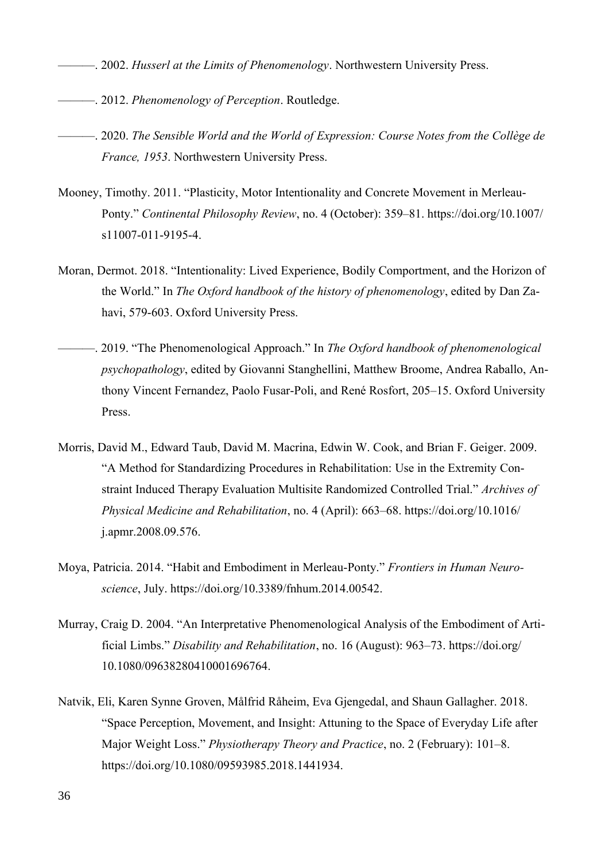- ———. 2002. *Husserl at the Limits of Phenomenology*. Northwestern University Press.
- ———. 2012. *Phenomenology of Perception*. Routledge.
- ———. 2020. *The Sensible World and the World of Expression: Course Notes from the Collège de France, 1953*. Northwestern University Press.
- Mooney, Timothy. 2011. "Plasticity, Motor Intentionality and Concrete Movement in Merleau-Ponty." *Continental Philosophy Review*, no. 4 (October): 359–81. https://doi.org/10.1007/ s11007-011-9195-4.
- Moran, Dermot. 2018. "Intentionality: Lived Experience, Bodily Comportment, and the Horizon of the World." In *The Oxford handbook of the history of phenomenology*, edited by Dan Zahavi, 579-603. Oxford University Press.
- ———. 2019. "The Phenomenological Approach." In *The Oxford handbook of phenomenological psychopathology*, edited by Giovanni Stanghellini, Matthew Broome, Andrea Raballo, Anthony Vincent Fernandez, Paolo Fusar-Poli, and René Rosfort, 205–15. Oxford University Press.
- Morris, David M., Edward Taub, David M. Macrina, Edwin W. Cook, and Brian F. Geiger. 2009. "A Method for Standardizing Procedures in Rehabilitation: Use in the Extremity Constraint Induced Therapy Evaluation Multisite Randomized Controlled Trial." *Archives of Physical Medicine and Rehabilitation*, no. 4 (April): 663–68. https://doi.org/10.1016/ j.apmr.2008.09.576.
- Moya, Patricia. 2014. "Habit and Embodiment in Merleau-Ponty." *Frontiers in Human Neuroscience*, July. https://doi.org/10.3389/fnhum.2014.00542.
- Murray, Craig D. 2004. "An Interpretative Phenomenological Analysis of the Embodiment of Artificial Limbs." *Disability and Rehabilitation*, no. 16 (August): 963–73. https://doi.org/ 10.1080/09638280410001696764.
- Natvik, Eli, Karen Synne Groven, Målfrid Råheim, Eva Gjengedal, and Shaun Gallagher. 2018. "Space Perception, Movement, and Insight: Attuning to the Space of Everyday Life after Major Weight Loss." *Physiotherapy Theory and Practice*, no. 2 (February): 101–8. https://doi.org/10.1080/09593985.2018.1441934.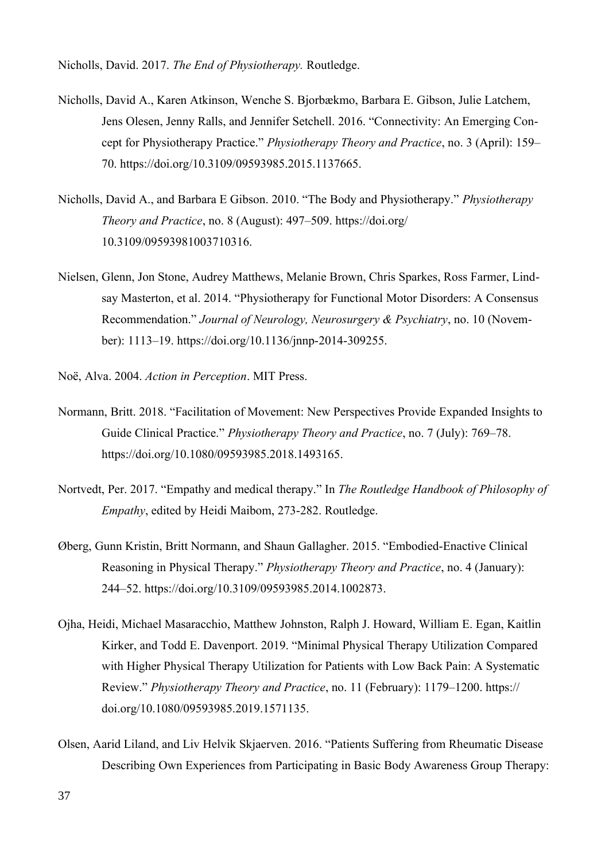Nicholls, David. 2017. *The End of Physiotherapy.* Routledge.

- Nicholls, David A., Karen Atkinson, Wenche S. Bjorbækmo, Barbara E. Gibson, Julie Latchem, Jens Olesen, Jenny Ralls, and Jennifer Setchell. 2016. "Connectivity: An Emerging Concept for Physiotherapy Practice." *Physiotherapy Theory and Practice*, no. 3 (April): 159– 70. https://doi.org/10.3109/09593985.2015.1137665.
- Nicholls, David A., and Barbara E Gibson. 2010. "The Body and Physiotherapy." *Physiotherapy Theory and Practice*, no. 8 (August): 497–509. https://doi.org/ 10.3109/09593981003710316.
- Nielsen, Glenn, Jon Stone, Audrey Matthews, Melanie Brown, Chris Sparkes, Ross Farmer, Lindsay Masterton, et al. 2014. "Physiotherapy for Functional Motor Disorders: A Consensus Recommendation." *Journal of Neurology, Neurosurgery & Psychiatry*, no. 10 (November): 1113–19. https://doi.org/10.1136/jnnp-2014-309255.
- Noë, Alva. 2004. *Action in Perception*. MIT Press.
- Normann, Britt. 2018. "Facilitation of Movement: New Perspectives Provide Expanded Insights to Guide Clinical Practice." *Physiotherapy Theory and Practice*, no. 7 (July): 769–78. https://doi.org/10.1080/09593985.2018.1493165.
- Nortvedt, Per. 2017. "Empathy and medical therapy." In *The Routledge Handbook of Philosophy of Empathy*, edited by Heidi Maibom, 273-282. Routledge.
- Øberg, Gunn Kristin, Britt Normann, and Shaun Gallagher. 2015. "Embodied-Enactive Clinical Reasoning in Physical Therapy." *Physiotherapy Theory and Practice*, no. 4 (January): 244–52. https://doi.org/10.3109/09593985.2014.1002873.
- Ojha, Heidi, Michael Masaracchio, Matthew Johnston, Ralph J. Howard, William E. Egan, Kaitlin Kirker, and Todd E. Davenport. 2019. "Minimal Physical Therapy Utilization Compared with Higher Physical Therapy Utilization for Patients with Low Back Pain: A Systematic Review." *Physiotherapy Theory and Practice*, no. 11 (February): 1179–1200. https:// doi.org/10.1080/09593985.2019.1571135.
- Olsen, Aarid Liland, and Liv Helvik Skjaerven. 2016. "Patients Suffering from Rheumatic Disease Describing Own Experiences from Participating in Basic Body Awareness Group Therapy: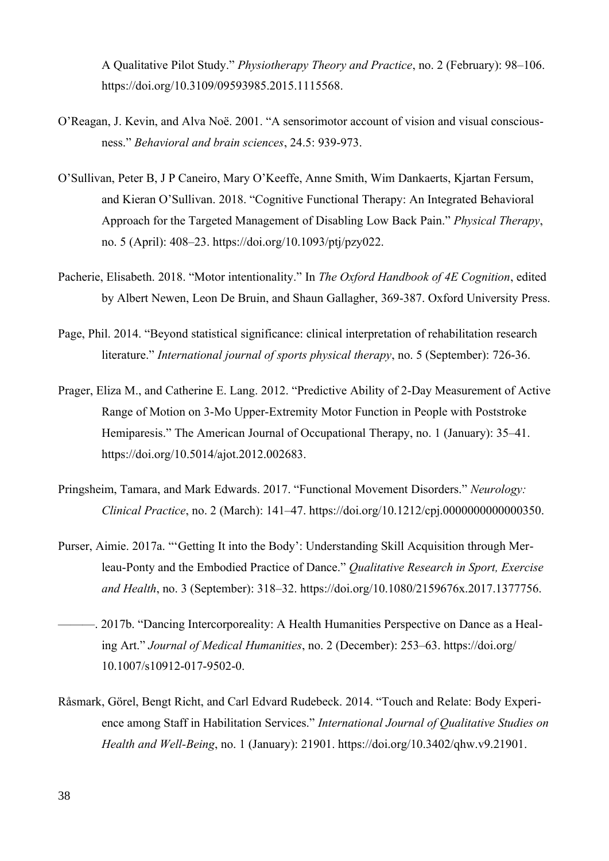A Qualitative Pilot Study." *Physiotherapy Theory and Practice*, no. 2 (February): 98–106. https://doi.org/10.3109/09593985.2015.1115568.

- O'Reagan, J. Kevin, and Alva Noë. 2001. "A sensorimotor account of vision and visual consciousness." *Behavioral and brain sciences*, 24.5: 939-973.
- O'Sullivan, Peter B, J P Caneiro, Mary O'Keeffe, Anne Smith, Wim Dankaerts, Kjartan Fersum, and Kieran O'Sullivan. 2018. "Cognitive Functional Therapy: An Integrated Behavioral Approach for the Targeted Management of Disabling Low Back Pain." *Physical Therapy*, no. 5 (April): 408–23. https://doi.org/10.1093/ptj/pzy022.
- Pacherie, Elisabeth. 2018. "Motor intentionality." In *The Oxford Handbook of 4E Cognition*, edited by Albert Newen, Leon De Bruin, and Shaun Gallagher, 369-387. Oxford University Press.
- Page, Phil. 2014. "Beyond statistical significance: clinical interpretation of rehabilitation research literature." *International journal of sports physical therapy*, no. 5 (September): 726-36.
- Prager, Eliza M., and Catherine E. Lang. 2012. "Predictive Ability of 2-Day Measurement of Active Range of Motion on 3-Mo Upper-Extremity Motor Function in People with Poststroke Hemiparesis." The American Journal of Occupational Therapy, no. 1 (January): 35–41. https://doi.org/10.5014/ajot.2012.002683.
- Pringsheim, Tamara, and Mark Edwards. 2017. "Functional Movement Disorders." *Neurology: Clinical Practice*, no. 2 (March): 141–47. https://doi.org/10.1212/cpj.0000000000000350.
- Purser, Aimie. 2017a. "'Getting It into the Body': Understanding Skill Acquisition through Merleau-Ponty and the Embodied Practice of Dance." *Qualitative Research in Sport, Exercise and Health*, no. 3 (September): 318–32. https://doi.org/10.1080/2159676x.2017.1377756.
- ———. 2017b. "Dancing Intercorporeality: A Health Humanities Perspective on Dance as a Healing Art." *Journal of Medical Humanities*, no. 2 (December): 253–63. https://doi.org/ 10.1007/s10912-017-9502-0.
- Råsmark, Görel, Bengt Richt, and Carl Edvard Rudebeck. 2014. "Touch and Relate: Body Experience among Staff in Habilitation Services." *International Journal of Qualitative Studies on Health and Well-Being*, no. 1 (January): 21901. https://doi.org/10.3402/qhw.v9.21901.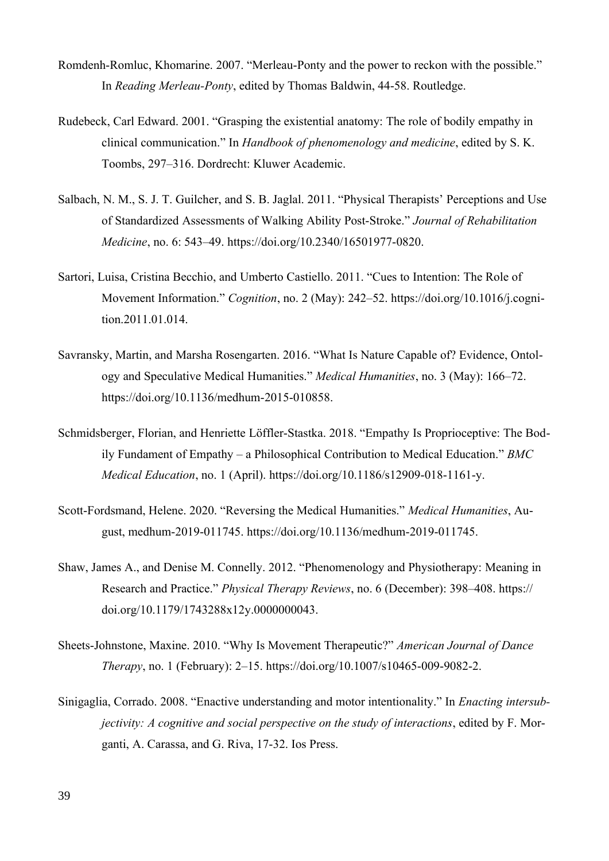- Romdenh-Romluc, Khomarine. 2007. "Merleau-Ponty and the power to reckon with the possible." In *Reading Merleau-Ponty*, edited by Thomas Baldwin, 44-58. Routledge.
- Rudebeck, Carl Edward. 2001. "Grasping the existential anatomy: The role of bodily empathy in clinical communication." In *Handbook of phenomenology and medicine*, edited by S. K. Toombs, 297–316. Dordrecht: Kluwer Academic.
- Salbach, N. M., S. J. T. Guilcher, and S. B. Jaglal. 2011. "Physical Therapists' Perceptions and Use of Standardized Assessments of Walking Ability Post-Stroke." *Journal of Rehabilitation Medicine*, no. 6: 543–49. https://doi.org/10.2340/16501977-0820.
- Sartori, Luisa, Cristina Becchio, and Umberto Castiello. 2011. "Cues to Intention: The Role of Movement Information." *Cognition*, no. 2 (May): 242–52. https://doi.org/10.1016/j.cognition.2011.01.014.
- Savransky, Martin, and Marsha Rosengarten. 2016. "What Is Nature Capable of? Evidence, Ontology and Speculative Medical Humanities." *Medical Humanities*, no. 3 (May): 166–72. https://doi.org/10.1136/medhum-2015-010858.
- Schmidsberger, Florian, and Henriette Löffler-Stastka. 2018. "Empathy Is Proprioceptive: The Bodily Fundament of Empathy – a Philosophical Contribution to Medical Education." *BMC Medical Education*, no. 1 (April). https://doi.org/10.1186/s12909-018-1161-y.
- Scott-Fordsmand, Helene. 2020. "Reversing the Medical Humanities." *Medical Humanities*, August, medhum-2019-011745. https://doi.org/10.1136/medhum-2019-011745.
- Shaw, James A., and Denise M. Connelly. 2012. "Phenomenology and Physiotherapy: Meaning in Research and Practice." *Physical Therapy Reviews*, no. 6 (December): 398–408. https:// doi.org/10.1179/1743288x12y.0000000043.
- Sheets-Johnstone, Maxine. 2010. "Why Is Movement Therapeutic?" *American Journal of Dance Therapy*, no. 1 (February): 2–15. https://doi.org/10.1007/s10465-009-9082-2.
- Sinigaglia, Corrado. 2008. "Enactive understanding and motor intentionality." In *Enacting intersubjectivity: A cognitive and social perspective on the study of interactions*, edited by F. Morganti, A. Carassa, and G. Riva, 17-32. Ios Press.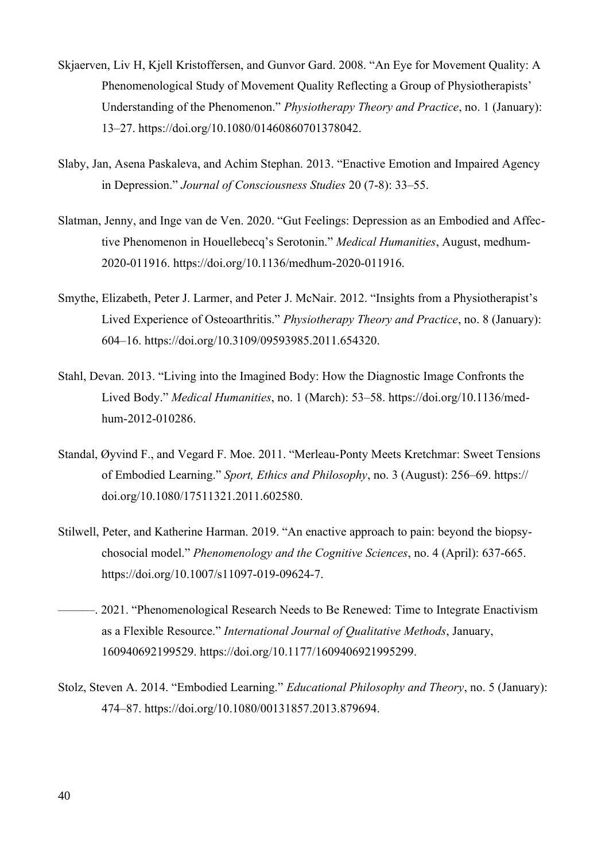- Skjaerven, Liv H, Kjell Kristoffersen, and Gunvor Gard. 2008. "An Eye for Movement Quality: A Phenomenological Study of Movement Quality Reflecting a Group of Physiotherapists' Understanding of the Phenomenon." *Physiotherapy Theory and Practice*, no. 1 (January): 13–27. https://doi.org/10.1080/01460860701378042.
- Slaby, Jan, Asena Paskaleva, and Achim Stephan. 2013. "Enactive Emotion and Impaired Agency in Depression." *Journal of Consciousness Studies* 20 (7-8): 33–55.
- Slatman, Jenny, and Inge van de Ven. 2020. "Gut Feelings: Depression as an Embodied and Affective Phenomenon in Houellebecq's Serotonin." *Medical Humanities*, August, medhum-2020-011916. https://doi.org/10.1136/medhum-2020-011916.
- Smythe, Elizabeth, Peter J. Larmer, and Peter J. McNair. 2012. "Insights from a Physiotherapist's Lived Experience of Osteoarthritis." *Physiotherapy Theory and Practice*, no. 8 (January): 604–16. https://doi.org/10.3109/09593985.2011.654320.
- Stahl, Devan. 2013. "Living into the Imagined Body: How the Diagnostic Image Confronts the Lived Body." *Medical Humanities*, no. 1 (March): 53–58. https://doi.org/10.1136/medhum-2012-010286.
- Standal, Øyvind F., and Vegard F. Moe. 2011. "Merleau-Ponty Meets Kretchmar: Sweet Tensions of Embodied Learning." *Sport, Ethics and Philosophy*, no. 3 (August): 256–69. https:// doi.org/10.1080/17511321.2011.602580.
- Stilwell, Peter, and Katherine Harman. 2019. "An enactive approach to pain: beyond the biopsychosocial model." *Phenomenology and the Cognitive Sciences*, no. 4 (April): 637-665. https://doi.org/10.1007/s11097-019-09624-7.
- ——. 2021. "Phenomenological Research Needs to Be Renewed: Time to Integrate Enactivism as a Flexible Resource." *International Journal of Qualitative Methods*, January, 160940692199529. https://doi.org/10.1177/1609406921995299.
- Stolz, Steven A. 2014. "Embodied Learning." *Educational Philosophy and Theory*, no. 5 (January): 474–87. https://doi.org/10.1080/00131857.2013.879694.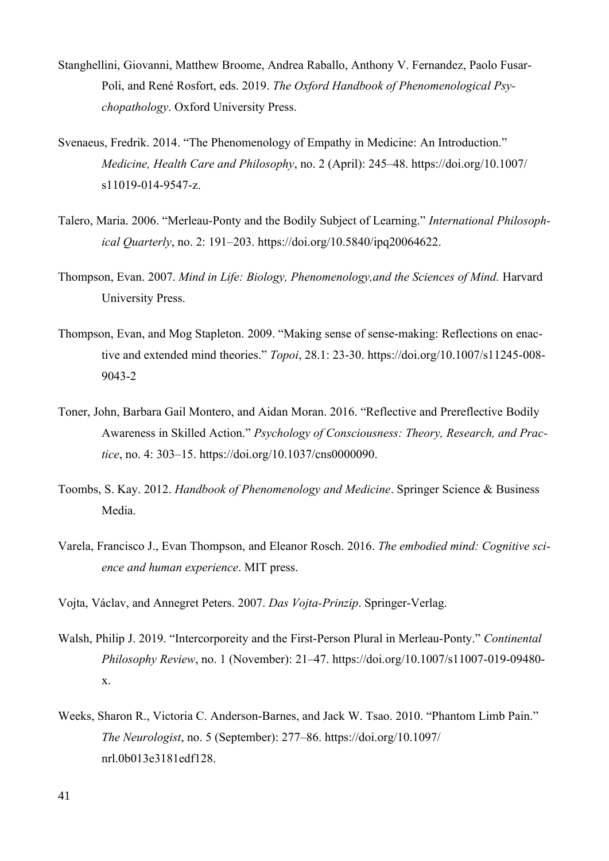- Stanghellini, Giovanni, Matthew Broome, Andrea Raballo, Anthony V. Fernandez, Paolo Fusar-Poli, and René Rosfort, eds. 2019. *The Oxford Handbook of Phenomenological Psychopathology*. Oxford University Press.
- Svenaeus, Fredrik. 2014. "The Phenomenology of Empathy in Medicine: An Introduction." *Medicine, Health Care and Philosophy*, no. 2 (April): 245–48. https://doi.org/10.1007/ s11019-014-9547-z.
- Talero, Maria. 2006. "Merleau-Ponty and the Bodily Subject of Learning." *International Philosophical Quarterly*, no. 2: 191–203. https://doi.org/10.5840/ipq20064622.
- Thompson, Evan. 2007. *Mind in Life: Biology, Phenomenology,and the Sciences of Mind.* Harvard University Press.
- Thompson, Evan, and Mog Stapleton. 2009. "Making sense of sense-making: Reflections on enactive and extended mind theories." *Topoi*, 28.1: 23-30. https://doi.org/10.1007/s11245-008- 9043-2
- Toner, John, Barbara Gail Montero, and Aidan Moran. 2016. "Reflective and Prereflective Bodily Awareness in Skilled Action." *Psychology of Consciousness: Theory, Research, and Practice*, no. 4: 303–15. https://doi.org/10.1037/cns0000090.
- Toombs, S. Kay. 2012. *Handbook of Phenomenology and Medicine*. Springer Science & Business Media.
- Varela, Francisco J., Evan Thompson, and Eleanor Rosch. 2016. *The embodied mind: Cognitive science and human experience*. MIT press.
- Vojta, Václav, and Annegret Peters. 2007. *Das Vojta-Prinzip*. Springer-Verlag.
- Walsh, Philip J. 2019. "Intercorporeity and the First-Person Plural in Merleau-Ponty." *Continental Philosophy Review*, no. 1 (November): 21–47. https://doi.org/10.1007/s11007-019-09480 x.
- Weeks, Sharon R., Victoria C. Anderson-Barnes, and Jack W. Tsao. 2010. "Phantom Limb Pain." *The Neurologist*, no. 5 (September): 277–86. https://doi.org/10.1097/ nrl.0b013e3181edf128.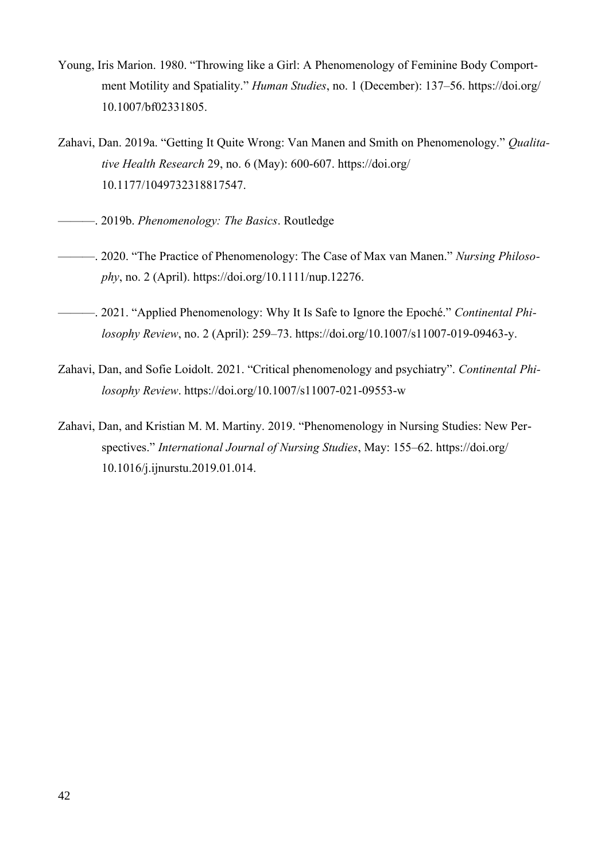- Young, Iris Marion. 1980. "Throwing like a Girl: A Phenomenology of Feminine Body Comportment Motility and Spatiality." *Human Studies*, no. 1 (December): 137–56. https://doi.org/ 10.1007/bf02331805.
- Zahavi, Dan. 2019a. "Getting It Quite Wrong: Van Manen and Smith on Phenomenology." *Qualitative Health Research* 29, no. 6 (May): 600-607. https://doi.org/ 10.1177/1049732318817547.
- ———. 2019b. *Phenomenology: The Basics*. Routledge
- ———. 2020. "The Practice of Phenomenology: The Case of Max van Manen." *Nursing Philosophy*, no. 2 (April). https://doi.org/10.1111/nup.12276.
- ———. 2021. "Applied Phenomenology: Why It Is Safe to Ignore the Epoché." *Continental Philosophy Review*, no. 2 (April): 259–73. https://doi.org/10.1007/s11007-019-09463-y.
- Zahavi, Dan, and Sofie Loidolt. 2021. "Critical phenomenology and psychiatry". *Continental Philosophy Review*. https://doi.org/10.1007/s11007-021-09553-w
- Zahavi, Dan, and Kristian M. M. Martiny. 2019. "Phenomenology in Nursing Studies: New Perspectives." *International Journal of Nursing Studies*, May: 155–62. https://doi.org/ 10.1016/j.ijnurstu.2019.01.014.